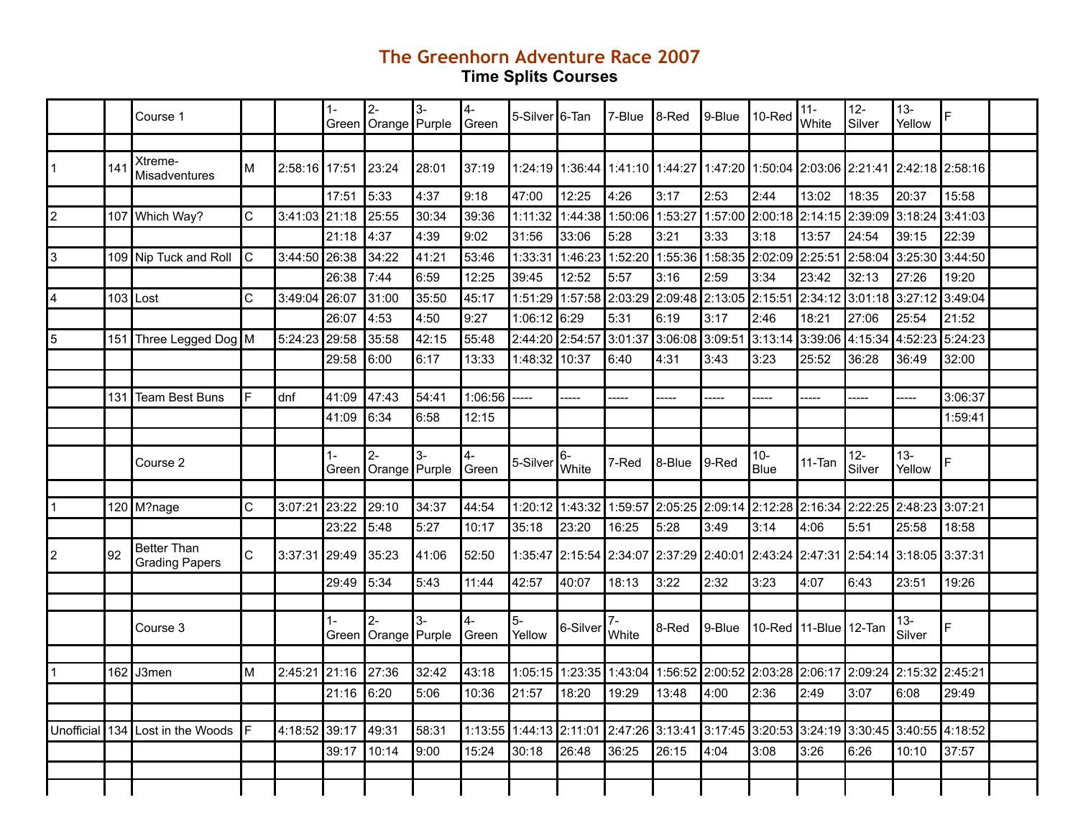## **The Greenhorn Adventure Race 2007 Time Splits Courses**

|                |     | Course 1                                    |    |               | $1 -$ | $2-$<br>Green   Orange   Purple | $3-$  | 4-<br>Green   | 5-Silver 6-Tan                                                                          |                         | 7-Blue        | I8-Red          | 9-Blue                                                  | I10-Red        | $11 -$<br>White                         | $12-$<br>Silver | $13 -$<br>Yellow                                | E.      |  |
|----------------|-----|---------------------------------------------|----|---------------|-------|---------------------------------|-------|---------------|-----------------------------------------------------------------------------------------|-------------------------|---------------|-----------------|---------------------------------------------------------|----------------|-----------------------------------------|-----------------|-------------------------------------------------|---------|--|
|                |     |                                             |    |               |       |                                 |       |               |                                                                                         |                         |               |                 |                                                         |                |                                         |                 |                                                 |         |  |
| 1              | 141 | Xtreme-<br>Misadventures                    | M  | 2:58:16 17:51 |       | 23:24                           | 28:01 | 37:19         |                                                                                         | 1:24:19∥1:36:44∫        |               | 1:41:10 1:44:27 |                                                         |                |                                         |                 | 1:47:20 1:50:04 2:03:06 2:21:41 2:42:18 2:58:16 |         |  |
|                |     |                                             |    |               | 17:51 | 5:33                            | 4:37  | 9:18          | 47:00                                                                                   | 12:25                   | 4:26          | 3:17            | 2:53                                                    | 2:44           | 13:02                                   | 18:35           | 20:37                                           | 15:58   |  |
| $ 2\rangle$    |     | 107 Which Way?                              | C  | 3:41:03 21:18 |       | 25:55                           | 30:34 | 39:36         | 1:11:32                                                                                 | 1:44:38                 | 1:50:06       | 1:53:27         | 1:57:00                                                 | 2:00:18        | 2:14:15 2:39:09                         |                 | 3:18:24                                         | 3:41:03 |  |
|                |     |                                             |    |               | 21:18 | 4:37                            | 4:39  | 9:02          | 31:56                                                                                   | 33:06                   | 5:28          | 3:21            | 3:33                                                    | 3:18           | 13:57                                   | 24:54           | 39:15                                           | 22:39   |  |
| 3              |     | 109 Nip Tuck and Roll                       | C  | 3:44:50 26:38 |       | 34:22                           | 41:21 | 53:46         | 1:33:31                                                                                 | l 1:46:23 l             | 1:52:20       |                 | 1:55:36 1:58:35 2:02:09                                 |                | 2:25:51 2:58:04                         |                 | 3:25:30                                         | 3:44:50 |  |
|                |     |                                             |    |               | 26:38 | 7:44                            | 6:59  | 12:25         | 39:45                                                                                   | 12:52                   | 5:57          | 3:16            | 2:59                                                    | 3:34           | 23:42                                   | 32:13           | 27:26                                           | 19:20   |  |
| $\overline{4}$ |     | $103$ Lost                                  | C  | 3:49:04       | 26:07 | 31:00                           | 35:50 | 45:17         | 1:51:29                                                                                 | 1:57:58                 | 2:03:29       | 2:09:48         | 2:13:05                                                 | 2:15:51        | 2:34:12                                 | 3:01:18         | 3:27:12                                         | 3:49:04 |  |
|                |     |                                             |    |               | 26:07 | 4:53                            | 4:50  | 9:27          | 1:06:12                                                                                 | 6:29                    | 5:31          | 6:19            | 3:17                                                    | 2:46           | 18:21                                   | 27:06           | 25:54                                           | 21:52   |  |
| 5              |     | 151 Three Legged Dog M                      |    | 5:24:23       | 29:58 | 35:58                           | 42:15 | 55:48         |                                                                                         | 2:44:20 2:54:57         | 3:01:37       | 3:06:08         | 3:09:51                                                 | 3:13:14        | 3:39:06                                 | 4:15:34         | 4:52:23                                         | 5:24:23 |  |
|                |     |                                             |    |               | 29:58 | 6:00                            | 6:17  | 13:33         | 1:48:32 10:37                                                                           |                         | 6:40          | 4:31            | 3:43                                                    | 3:23           | 25:52                                   | 36:28           | 36:49                                           | 32:00   |  |
|                |     |                                             |    |               |       |                                 |       |               |                                                                                         |                         |               |                 |                                                         |                |                                         |                 |                                                 |         |  |
|                | 131 | Team Best Buns                              | F  | dnf           | 41:09 | 47:43                           | 54:41 | 1:06:56       | ----                                                                                    |                         | $---$         |                 | ----                                                    | ----           |                                         | $---$           | ----                                            | 3:06:37 |  |
|                |     |                                             |    |               | 41:09 | 6:34                            | 6:58  | 12:15         |                                                                                         |                         |               |                 |                                                         |                |                                         |                 |                                                 | 1:59:41 |  |
|                |     |                                             |    |               |       |                                 |       |               |                                                                                         |                         |               |                 |                                                         |                |                                         |                 |                                                 |         |  |
|                |     | Course 2                                    |    |               | $1 -$ | $2-$<br>Green Orange Purple     | $3-$  | 4-<br>Green   | 5-Silver                                                                                | 6-<br>White             | 7-Red         | 8-Blue          | l9-Red                                                  | $10 -$<br>Blue | 11-Tan                                  | 12-<br>Silver   | $13 -$<br>Yellow                                | F       |  |
|                |     |                                             |    |               |       |                                 |       |               |                                                                                         |                         |               |                 |                                                         |                |                                         |                 |                                                 |         |  |
|                |     | 120 M?nage                                  | C  | 3:07:21       | 23:22 | 29:10                           | 34:37 | 44:54         |                                                                                         | 1:20:12 1:43:32         | 1:59:57       | 2:05:25         |                                                         |                | 2:09:14 2:12:28 2:16:34 2:22:25 2:48:23 |                 |                                                 | 3:07:21 |  |
|                |     |                                             |    |               | 23:22 | 5:48                            | 5:27  | 10:17         | 35:18                                                                                   | 23:20                   | 16:25         | 5:28            | 3:49                                                    | 3:14           | 4:06                                    | 5:51            | 25:58                                           | 18:58   |  |
| $\vert$ 2      | 92  | <b>Better Than</b><br><b>Grading Papers</b> | C  | 3:37:31 29:49 |       | 35:23                           | 41:06 | 52:50         |                                                                                         | 1:35:47 2:15:54 2:34:07 |               |                 | 2:37:29 2:40:01 2:43:24 2:47:31 2:54:14 3:18:05 3:37:31 |                |                                         |                 |                                                 |         |  |
|                |     |                                             |    |               | 29:49 | 5:34                            | 5:43  | 11:44         | 42:57                                                                                   | 40:07                   | 18:13         | 3:22            | 2:32                                                    | 3:23           | 4:07                                    | 6:43            | 23:51                                           | 19:26   |  |
|                |     |                                             |    |               |       |                                 |       |               |                                                                                         |                         |               |                 |                                                         |                |                                         |                 |                                                 |         |  |
|                |     | Course 3                                    |    |               | $1 -$ | $2 -$<br>Green Orange Purple    | $3-$  | $4-$<br>Green | 5-<br>Yellow                                                                            | 6-Silver                | $7-$<br>White | 8-Red           | 9-Blue                                                  |                | 10-Red 11-Blue 12-Tan                   |                 | $13 -$<br>Silver                                | F       |  |
|                |     |                                             |    |               |       |                                 |       |               |                                                                                         |                         |               |                 |                                                         |                |                                         |                 |                                                 |         |  |
|                |     | 162 J3men                                   | M  | 2:45:21       | 21:16 | 27:36                           | 32:42 | 43:18         | 1:05:15                                                                                 | 1:23:35                 | 1:43:04       | 1:56:52         | 2:00:52 2:03:28                                         |                | 2:06:17                                 |                 | 2:09:24 2:15:32 2:45:21                         |         |  |
|                |     |                                             |    |               | 21:16 | 6:20                            | 5:06  | 10:36         | 21:57                                                                                   | 18:20                   | 19:29         | 13:48           | 4:00                                                    | 2:36           | 2:49                                    | 3:07            | 6:08                                            | 29:49   |  |
|                |     |                                             |    |               |       |                                 |       |               |                                                                                         |                         |               |                 |                                                         |                |                                         |                 |                                                 |         |  |
| Unofficial     |     | 134 Lost in the Woods                       | IF | 4:18:52       | 39:17 | 49:31                           | 58:31 |               | 1:13:55 1:44:13 2:11:01 2:47:26 3:13:41 3:17:45 3:20:53 3:24:19 3:30:45 3:40:55 4:18:52 |                         |               |                 |                                                         |                |                                         |                 |                                                 |         |  |
|                |     |                                             |    |               | 39:17 | 10:14                           | 9:00  | 15:24         | 30:18                                                                                   | 26:48                   | 36:25         | 26:15           | 4:04                                                    | 3:08           | 3:26                                    | 6:26            | 10:10                                           | 37:57   |  |
|                |     |                                             |    |               |       |                                 |       |               |                                                                                         |                         |               |                 |                                                         |                |                                         |                 |                                                 |         |  |
|                |     |                                             |    |               |       |                                 |       |               |                                                                                         |                         |               |                 |                                                         |                |                                         |                 |                                                 |         |  |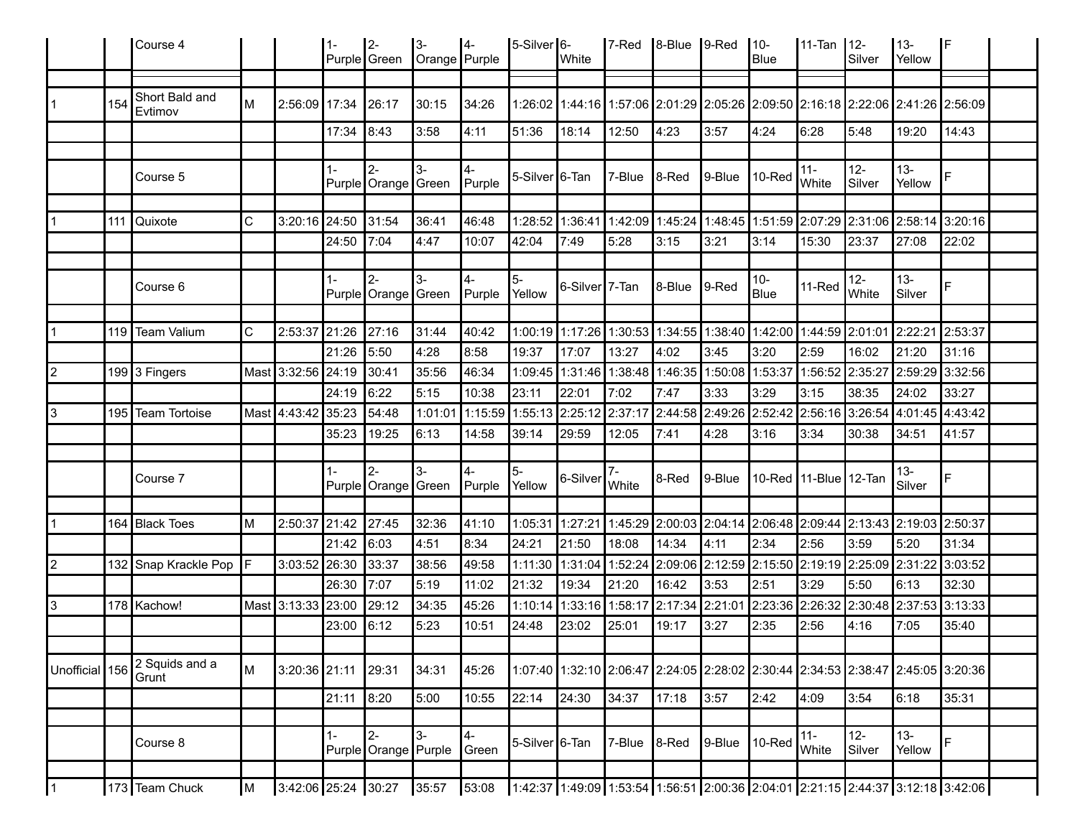|                |     | Course 4                  |    |                     | l 1-       | $ 2 -$<br>Purple Green           | <u>3-</u><br>Orange Purple | $ 4-$                 | $5-Silver$ 6-  | White                       | $ 7$ -Red | $\vert$ 8-Blue $\vert$ 9-Red |                                                                                 | $10-$<br>Blue | 11-Tan 12-             | Silver                            | 13-<br>Yellow    | IF                                                                              |  |
|----------------|-----|---------------------------|----|---------------------|------------|----------------------------------|----------------------------|-----------------------|----------------|-----------------------------|-----------|------------------------------|---------------------------------------------------------------------------------|---------------|------------------------|-----------------------------------|------------------|---------------------------------------------------------------------------------|--|
|                |     |                           |    |                     |            |                                  |                            |                       |                |                             |           |                              |                                                                                 |               |                        |                                   |                  |                                                                                 |  |
| $\mathbf 1$    | 154 | Short Bald and<br>Evtimov |    | 2:56:09 17:34       |            | 26:17                            | 30:15                      | 34:26                 |                |                             |           |                              | 1:26:02 1:44:16 1:57:06 2:01:29 2:05:26 2:09:50 2:16:18 2:22:06 2:41:26 2:56:09 |               |                        |                                   |                  |                                                                                 |  |
|                |     |                           |    |                     | 17:34      | 8:43                             | 3:58                       | 4:11                  | 51:36          | 18:14                       | 12:50     | ∥4:23                        | 3:57                                                                            | 4:24          | 6:28                   | 5:48                              | 19:20            | 14:43                                                                           |  |
|                |     |                           |    |                     |            |                                  |                            |                       |                |                             |           |                              |                                                                                 |               |                        |                                   |                  |                                                                                 |  |
|                |     | Course 5                  |    |                     | $1 -$      | <b>2-</b><br>Purple Orange Green | 3-                         | 4-<br>Purple          | 5-Silver 6-Tan |                             | 7-Blue    | $ 8$ -Red                    | 9-Blue                                                                          | $ 10$ -Red    | $11 -$<br><b>White</b> | $12-$<br>Silver                   | $13 -$<br>Yellow | F                                                                               |  |
|                |     |                           |    |                     |            |                                  |                            |                       |                |                             |           |                              |                                                                                 |               |                        |                                   |                  |                                                                                 |  |
|                | 111 | <b>Quixote</b>            | C  | 3:20:16 24:50       |            | 31:54                            | 36:41                      | 46:48                 |                |                             |           |                              | 1:28:52 1:36:41 1:42:09 1:45:24 1:48:45 1:51:59 2:07:29 2:31:06 2:58:14 3:20:16 |               |                        |                                   |                  |                                                                                 |  |
|                |     |                           |    |                     | 24:50      | 7:04                             | 4:47                       | 10:07                 | 42:04          | 7:49                        | 5:28      | 3:15                         | 3:21                                                                            | 3:14          | 15:30                  | 23:37                             | 27:08            | 22:02                                                                           |  |
|                |     |                           |    |                     |            |                                  |                            |                       |                |                             |           |                              |                                                                                 |               |                        |                                   |                  |                                                                                 |  |
|                |     | Course 6                  |    |                     |            | I2-<br>Purple Orange Green       | 3-                         | $4-$<br>Purple Yellow | $5-$           | 6-Silver <sup>17</sup> -Tan |           | 8-Blue                       | $ 9 - Red$                                                                      | $10-$<br>Blue | 11-Red                 | $12 -$<br>White                   | $13 -$<br>Silver | F                                                                               |  |
|                |     |                           |    |                     |            |                                  |                            |                       |                |                             |           |                              |                                                                                 |               |                        |                                   |                  |                                                                                 |  |
|                |     | 119 Team Valium           | C  | 2:53:37 21:26       |            | 27:16                            | 31:44                      | 40:42                 |                |                             |           |                              | 1:00:19 1:17:26 1:30:53 1:34:55 1:38:40 1:42:00 1:44:59 2:01:01 2:22:21         |               |                        |                                   |                  | 2:53:37                                                                         |  |
|                |     |                           |    |                     | 21:26      | 5:50                             | 4:28                       | 8:58                  | 19:37          | 17:07                       | 13:27     | 4:02                         | 3:45                                                                            | 3:20          | 2:59                   | 16:02                             | 21:20            | 31:16                                                                           |  |
| $\overline{2}$ |     | 199 3 Fingers             |    | Mast 3:32:56 24:19  |            | 30:41                            | 35:56                      | 46:34                 | 1:09:45        |                             |           |                              | 1:31:46  1:38:48  1:46:35  1:50:08  1:53:37                                     |               | 1:56:52                | 2:35:27                           | 2:59:29          | 3:32:56                                                                         |  |
|                |     |                           |    |                     | 24:19      | 6:22                             | 5:15                       | 10:38                 | 23:11          | 22:01                       | 7:02      | 7:47                         | 3:33                                                                            | 3:29          | 3:15                   | 38:35                             | 24:02            | 33:27                                                                           |  |
| 3              |     | 195 Team Tortoise         |    | Mast 4:43:42        | 35:23      | 54:48                            | 1:01:01                    | 1:15:59               | 1:55:13        | 2:25:12 2:37:17             |           |                              | 2:44:58 2:49:26 2:52:42                                                         |               |                        | 2:56:16 3:26:54 4:01:45 4:43:42   |                  |                                                                                 |  |
|                |     |                           |    |                     | 35:23      | 19:25                            | 6:13                       | 14:58                 | 39:14          | 29:59                       | 12:05     | 7:41                         | 4:28                                                                            | 3:16          | 3:34                   | 30:38                             | 34:51            | 41:57                                                                           |  |
|                |     |                           |    |                     |            |                                  |                            |                       |                |                             |           |                              |                                                                                 |               |                        |                                   |                  |                                                                                 |  |
|                |     | Course 7                  |    |                     | $1 -$      | $2 -$<br>Purple Orange Green     | $3-$                       | $4-$<br>Purple Yellow | 5-             | 6-Silver                    | White     | 8-Red                        | 9-Blue                                                                          |               | 10-Red 11-Blue 12-Tan  |                                   | $13 -$<br>Silver | F                                                                               |  |
|                |     |                           |    |                     |            |                                  |                            |                       |                |                             |           |                              |                                                                                 |               |                        |                                   |                  |                                                                                 |  |
| $\mathbf 1$    |     | 164 Black Toes            | ΙM | 2:50:37 21:42       |            | 27:45                            | 32:36                      | 41:10                 |                | 1:05:31 1:27:21             |           |                              | 1:45:29  2:00:03  2:04:14  2:06:48  2:09:44  2:13:43  2:19:03  2:50:37          |               |                        |                                   |                  |                                                                                 |  |
|                |     |                           |    |                     | 21:42      | 6:03                             | 4:51                       | 8:34                  | 24:21          | 21:50                       | 18:08     | 14:34                        | 4:11                                                                            | 2:34          | 2:56                   | 3:59                              | 5:20             | 31:34                                                                           |  |
| $ 2\rangle$    |     | 132 Snap Krackle Pop      | IF | 3:03:52 26:30       |            | 33:37                            | 38:56                      | 49:58                 | 1:11:30        |                             |           |                              | 1:31:04  1:52:24  2:09:06  2:12:59  2:15:50  2:19:19  2:25:09  2:31:22  3:03:52 |               |                        |                                   |                  |                                                                                 |  |
|                |     |                           |    |                     | 26:30      | 7:07                             | 5:19                       | 11:02                 | 21:32          | 19:34                       | 21:20     | 16:42                        | 3:53                                                                            | 2:51          | 3:29                   | 5:50                              | 6:13             | 32:30                                                                           |  |
| 3              |     | 178 Kachow!               |    | Mast 3:13:33 23:00  |            | 29:12                            | 34:35                      | 45:26                 | 1:10:14        | 1:33:16 1:58:17             |           | 2:17:34 2:21:01              |                                                                                 | 2:23:36       |                        | $2:26:32$ 2:30:48 2:37:53 3:13:33 |                  |                                                                                 |  |
|                |     |                           |    |                     | 23:00      | 6:12                             | 5:23                       | 10:51                 | 24:48          | 23:02                       | 25:01     | 19:17                        | 3:27                                                                            | 2:35          | 2:56                   | 4:16                              | 7:05             | 35:40                                                                           |  |
|                |     |                           |    |                     |            |                                  |                            |                       |                |                             |           |                              |                                                                                 |               |                        |                                   |                  |                                                                                 |  |
| Unofficial 156 |     | 2 Squids and a<br>Grunt   | ΙM | 3:20:36 21:11       |            | 29:31                            | 34:31                      | 45:26                 |                |                             |           |                              |                                                                                 |               |                        |                                   |                  | 1:07:40 1:32:10 2:06:47 2:24:05 2:28:02 2:30:44 2:34:53 2:38:47 2:45:05 3:20:36 |  |
|                |     |                           |    |                     | 21:11 8:20 |                                  | 5:00                       | 10:55                 | 22:14          | 24:30                       | 34:37     | 17:18                        | 3:57                                                                            | 2:42          | 4:09                   | 3:54                              | 6:18             | 35:31                                                                           |  |
|                |     |                           |    |                     |            |                                  |                            |                       |                |                             |           |                              |                                                                                 |               |                        |                                   |                  |                                                                                 |  |
|                |     | Course 8                  |    |                     | $1 -$      | $2 -$<br>Purple Orange Purple    | $3-$                       | 4-<br>Green           | 5-Silver 6-Tan |                             | 7-Blue    | $ 8$ -Red                    | 9-Blue 10-Red                                                                   |               | $11 -$<br>White        | $12-$<br>Silver                   | $13 -$<br>Yellow | F                                                                               |  |
|                |     |                           |    |                     |            |                                  |                            |                       |                |                             |           |                              |                                                                                 |               |                        |                                   |                  |                                                                                 |  |
| l 1            |     | 173 Team Chuck            | M  | 3:42:06 25:24 30:27 |            |                                  | 35:57                      | 53:08                 |                |                             |           |                              |                                                                                 |               |                        |                                   |                  | 1:42:37 1:49:09 1:53:54 1:56:51 2:00:36 2:04:01 2:21:15 2:44:37 3:12:18 3:42:06 |  |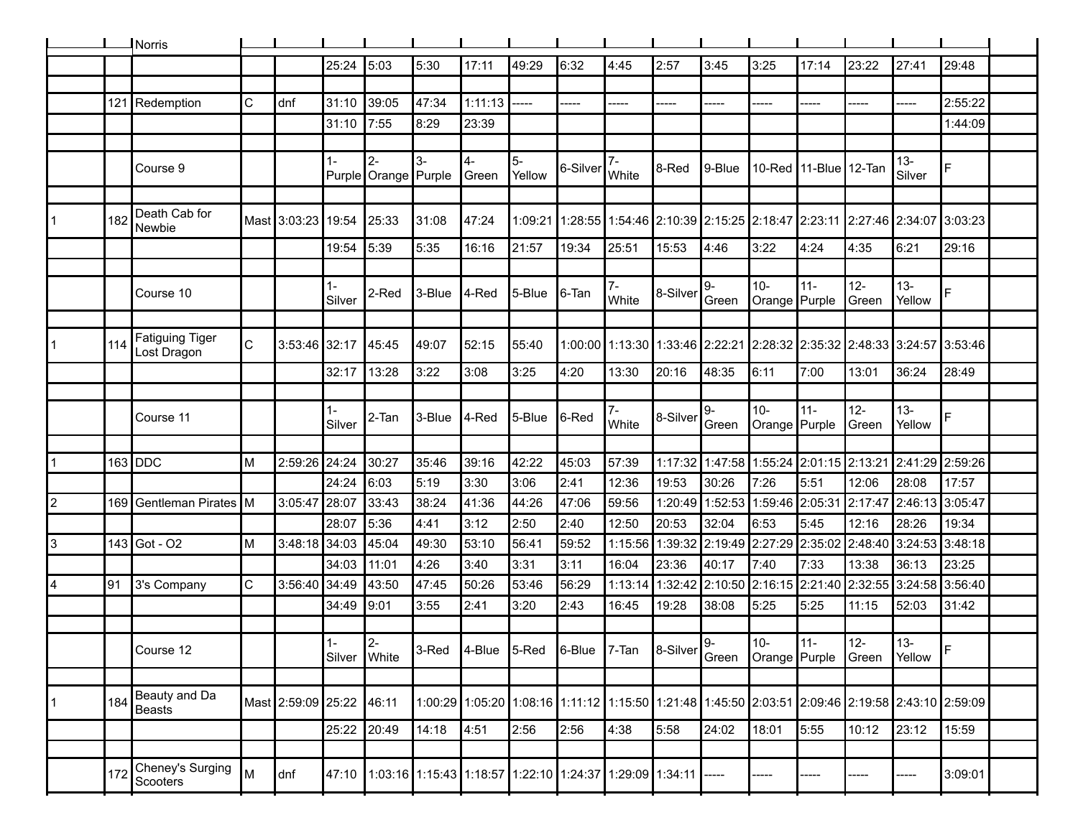|   |      | <b>I</b> Norris                |              |                          |                       |                                                                             |        |                        |                |                                                                                 |             |           |                                                                                 |                          |                       |                                     |                  |                                                                                                 |  |
|---|------|--------------------------------|--------------|--------------------------|-----------------------|-----------------------------------------------------------------------------|--------|------------------------|----------------|---------------------------------------------------------------------------------|-------------|-----------|---------------------------------------------------------------------------------|--------------------------|-----------------------|-------------------------------------|------------------|-------------------------------------------------------------------------------------------------|--|
|   |      |                                |              |                          | 25:24                 | 5:03                                                                        | 5:30   | 17:11                  | 49:29          | 6:32                                                                            | 4:45        | 2:57      | 3:45                                                                            | 3:25                     | 17:14                 | 23:22                               | 27:41            | 29:48                                                                                           |  |
|   |      |                                |              |                          |                       |                                                                             |        |                        |                |                                                                                 |             |           |                                                                                 |                          |                       |                                     |                  |                                                                                                 |  |
|   |      | 121 Redemption                 | C            | dnf                      | 31:10                 | 39:05                                                                       | 47:34  | 1:11:13                | -----          | -----                                                                           | -----       | -----     | ----                                                                            | -----                    | -----                 | -----                               | -----            | 2:55:22                                                                                         |  |
|   |      |                                |              |                          | 31:10                 | 7:55                                                                        | 8:29   | 23:39                  |                |                                                                                 |             |           |                                                                                 |                          |                       |                                     |                  | 1:44:09                                                                                         |  |
|   |      |                                |              |                          |                       |                                                                             |        |                        |                |                                                                                 |             |           |                                                                                 |                          |                       |                                     |                  |                                                                                                 |  |
|   |      | Course 9                       |              |                          | 1-                    | $2 -$<br>Purple Orange Purple                                               | $3-$   | $\mathbf{4}$<br>∣Green | $5-$<br>Yellow | 6-Silver                                                                        | White       | 8-Red     | ∥9-Blue                                                                         |                          | 10-Red 11-Blue 12-Tan |                                     | $13 -$<br>Silver | F                                                                                               |  |
|   |      |                                |              |                          |                       |                                                                             |        |                        |                |                                                                                 |             |           |                                                                                 |                          |                       |                                     |                  |                                                                                                 |  |
|   | 182  | Death Cab for<br>Newbie        |              | Mast 3:03:23 19:54       |                       | 25:33                                                                       | 31:08  | 47:24                  |                |                                                                                 |             |           | 1:09:21 1:28:55 1:54:46 2:10:39 2:15:25 2:18:47 2:23:11 2:27:46 2:34:07 3:03:23 |                          |                       |                                     |                  |                                                                                                 |  |
|   |      |                                |              |                          | 19:54                 | 5:39                                                                        | 5:35   | 16:16                  | 21:57          | 19:34                                                                           | 25:51       | 15:53     | 4:46                                                                            | 3:22                     | 4:24                  | 4:35                                | 6:21             | 29:16                                                                                           |  |
|   |      |                                |              |                          |                       |                                                                             |        |                        |                |                                                                                 |             |           |                                                                                 |                          |                       |                                     |                  |                                                                                                 |  |
|   |      | Course 10                      |              |                          | 1-<br>Silver          | 2-Red                                                                       | 3-Blue | 4-Red                  | 5-Blue         | 6-Tan                                                                           | 7-<br>White | ∥8-Silver | 9-<br>Green                                                                     | $10 -$<br>Orange Purple  | $11 -$                | $12-$<br> Green                     | $13 -$<br>Yellow |                                                                                                 |  |
|   |      |                                |              |                          |                       |                                                                             |        |                        |                |                                                                                 |             |           |                                                                                 |                          |                       |                                     |                  |                                                                                                 |  |
|   | 114  | Fatiguing Tiger<br>Lost Dragon | $\mathsf{C}$ | 3:53:46 32:17            |                       | 45:45                                                                       | 49:07  | 52:15                  | 55:40          |                                                                                 |             |           |                                                                                 |                          |                       |                                     |                  | 1:00:00 1:13:30 1:33:46 2:22:21 2:28:32 2:35:32 2:48:33 3:24:57 3:53:46                         |  |
|   |      |                                |              |                          | 32:17                 | 13:28                                                                       | 3:22   | 3:08                   | 3:25           | 4:20                                                                            | 13:30       | 20:16     | 48:35                                                                           | 6:11                     | 7:00                  | 13:01                               | 36:24            | 28:49                                                                                           |  |
|   |      |                                |              |                          |                       |                                                                             |        |                        |                |                                                                                 |             |           |                                                                                 |                          |                       |                                     |                  |                                                                                                 |  |
|   |      | Course 11                      |              |                          | Silver                | 2-Tan                                                                       | 3-Blue | 4-Red                  | ∣5-Blue        | 6-Red                                                                           | 7-<br>White | 8-Silver  | 9-<br>Green                                                                     | $10-$<br>Orange   Purple | $11 -$                | $12-$<br>Green                      | $13 -$<br>Yellow |                                                                                                 |  |
|   |      |                                |              |                          |                       |                                                                             |        |                        |                |                                                                                 |             |           |                                                                                 |                          |                       |                                     |                  |                                                                                                 |  |
|   |      | $163$ DDC                      | M            | 2:59:26                  | 24:24                 | 30:27                                                                       | 35:46  | 39:16                  | 42:22          | 45:03                                                                           | 57:39       |           | 1:17:32 1:47:58   1:55:24   2:01:15   2:13:21                                   |                          |                       |                                     | 2:41:29 2:59:26  |                                                                                                 |  |
|   |      |                                |              |                          | 24:24                 | 6:03                                                                        | 5:19   | 3:30                   | 3:06           | 2:41                                                                            | 12:36       | 19:53     | 30:26                                                                           | 7:26                     | 5:51                  | 12:06                               | 28:08            | 17:57                                                                                           |  |
|   |      | 169 Gentleman Pirates          | ΙM           | 3:05:47                  | 28:07                 | 33:43                                                                       | 38:24  | 41:36                  | 44:26          | 47:06                                                                           | 59:56       | 1:20:49   | 1:52:53                                                                         | 1:59:46                  | 2:05:31               | 2:17:47                             | 2:46:13 3:05:47  |                                                                                                 |  |
|   |      |                                |              |                          | 28:07                 | 5:36                                                                        | 4:41   | 3:12                   | 2:50           | 2:40                                                                            | 12:50       | 20:53     | 32:04                                                                           | 6:53                     | 5:45                  | 12:16                               | 28:26            | 19:34                                                                                           |  |
| 3 |      | 143 Got - O2                   | M            | 3:48:18                  | 34:03                 | 45:04                                                                       | 49:30  | 53:10                  | 56:41          | 59:52                                                                           |             |           | 1:15:56 1:39:32 2:19:49 2:27:29 2:35:02 2:48:40 3:24:53 3:48:18                 |                          |                       |                                     |                  |                                                                                                 |  |
|   |      |                                |              |                          | 34:03                 | 11:01                                                                       | 4:26   | 3:40                   | 3:31           | 3:11                                                                            | 16:04       | 23:36     | 40:17                                                                           | 7:40                     | 7:33                  | 13:38                               | 36:13            | 23:25                                                                                           |  |
|   | ן 91 | 3's Company                    | $\mathsf{C}$ | 3:56:40                  | 34:49                 | 43:50                                                                       | 47:45  | 50:26                  | 53:46          | 56:29                                                                           | 1:13:14     | 1:32:42   | 2:10:50 2:16:15 2:21:40 2:32:55                                                 |                          |                       |                                     | 3:24:58 3:56:40  |                                                                                                 |  |
|   |      |                                |              |                          | 34:49                 | 9:01                                                                        | 3:55   | 2:41                   | 3:20           | 2:43                                                                            | 16:45       | 19:28     | 38:08                                                                           | 5:25                     | 5:25                  | 11:15                               | 52:03            | 31:42                                                                                           |  |
|   |      |                                |              |                          |                       |                                                                             |        |                        |                |                                                                                 |             |           |                                                                                 |                          |                       |                                     |                  |                                                                                                 |  |
|   |      | Course 12                      |              |                          | $1 -$<br>Silver White | $\overline{2}$                                                              |        |                        |                | 3-Red 4-Blue 5-Red 6-Blue 7-Tan 8-Silver $\begin{vmatrix} 9 \\ 6 \end{vmatrix}$ |             |           |                                                                                 | $10-$                    | 11-                   | l 12-<br>Orange Purple Green Yellow | $13-$            |                                                                                                 |  |
|   |      |                                |              |                          |                       |                                                                             |        |                        |                |                                                                                 |             |           |                                                                                 |                          |                       |                                     |                  |                                                                                                 |  |
|   | 184  | Beauty and Da<br><b>Beasts</b> |              | Mast 2:59:09 25:22 46:11 |                       |                                                                             |        |                        |                |                                                                                 |             |           |                                                                                 |                          |                       |                                     |                  | 1:00:29 1:05:20 1:08:16 1:11:12 1:15:50 1:21:48 1:45:50 2:03:51 2:09:46 2:19:58 2:43:10 2:59:09 |  |
|   |      |                                |              |                          | 25:22 20:49           |                                                                             | 14:18  | 4:51                   | 2:56           | 2:56                                                                            | 4:38        | 5:58      | 24:02                                                                           | 18:01                    | 5:55                  | 10:12                               | 23:12            | 15:59                                                                                           |  |
|   |      |                                |              |                          |                       |                                                                             |        |                        |                |                                                                                 |             |           |                                                                                 |                          |                       |                                     |                  |                                                                                                 |  |
|   | 172  | Cheney's Surging<br>Scooters   | M            | dnf                      |                       | 47:10  1:03:16  1:15:43  1:18:57  1:22:10  1:24:37  1:29:09  1:34:11  ----- |        |                        |                |                                                                                 |             |           |                                                                                 |                          |                       |                                     | -----            | 3:09:01                                                                                         |  |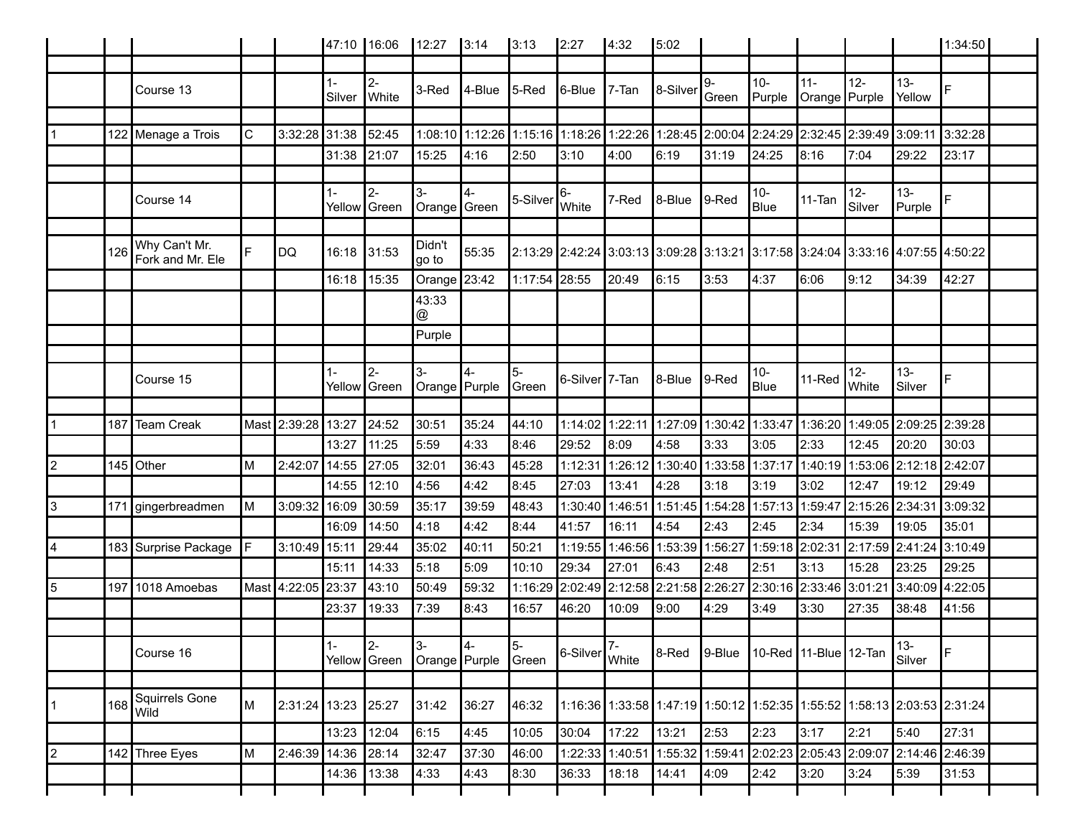|                |     |                                   |    |                     | 47:10 16:06     |                      | 12:27                                          | 3:14   | 3:13                 | 2:27                                                       | 4:32    | 5:02                                                                                    |                 |                      |                         |                  |                         | 1:34:50                                                                 |  |
|----------------|-----|-----------------------------------|----|---------------------|-----------------|----------------------|------------------------------------------------|--------|----------------------|------------------------------------------------------------|---------|-----------------------------------------------------------------------------------------|-----------------|----------------------|-------------------------|------------------|-------------------------|-------------------------------------------------------------------------|--|
|                |     |                                   |    |                     |                 |                      |                                                |        |                      |                                                            |         |                                                                                         |                 |                      |                         |                  |                         |                                                                         |  |
|                |     | Course 13                         |    |                     | $1 -$<br>Silver | $2-$<br>White        | 3-Red                                          | 4-Blue | $5$ -Red             | $I6$ -Blue                                                 | 7-Tan   | 8-Silver                                                                                | 9-<br>Green     | $10-$<br>Purple      | $11 -$<br>Orange Purple | $12-$            | $13 -$<br>Yellow        | E.                                                                      |  |
|                |     |                                   |    |                     |                 |                      |                                                |        |                      |                                                            |         |                                                                                         |                 |                      |                         |                  |                         |                                                                         |  |
|                |     | 122 Menage a Trois                | C  | 3:32:28 31:38       |                 | 52:45                |                                                |        |                      |                                                            |         | 1:08:10 1:12:26 1:15:16 1:18:26 1:22:26 1:22:26 2:00:04 2:24:29 2:32:45 2:39:49 3:09:11 |                 |                      |                         |                  |                         | 3:32:28                                                                 |  |
|                |     |                                   |    |                     | 31:38           | 21:07                | 15:25                                          | 4:16   | 2:50                 | 3:10                                                       | 4:00    | 16:19                                                                                   | 31:19           | 24:25                | 8:16                    | 7:04             | 29:22                   | 23:17                                                                   |  |
|                |     |                                   |    |                     |                 |                      |                                                |        |                      |                                                            |         |                                                                                         |                 |                      |                         |                  |                         |                                                                         |  |
|                |     | Course 14                         |    |                     | $1 -$           | $2-$<br>Yellow Green | $3-$<br>Orange Green                           | 4-     | 5-Silver             | 6-<br>White                                                | 7-Red   | l8-Blue                                                                                 | 9-Red           | $10-$<br>Blue        | 11-Tan                  | $12 -$<br>Silver | $13 -$<br>Purple        | E                                                                       |  |
|                |     |                                   |    |                     |                 |                      |                                                |        |                      |                                                            |         |                                                                                         |                 |                      |                         |                  |                         |                                                                         |  |
|                | 126 | Why Can't Mr.<br>Fork and Mr. Ele | E  | <b>DQ</b>           | 16:18           | 31:53                | Didn't<br>go to                                | 55:35  |                      |                                                            |         | 2:13:29 2:42:24 3:03:13 3:09:28 3:13:21 3:17:58 3:24:04 3:33:16 4:07:55 4:50:22         |                 |                      |                         |                  |                         |                                                                         |  |
|                |     |                                   |    |                     | 16:18           | 15:35                | Orange 23:42                                   |        | 1:17:54 28:55        |                                                            | 20:49   | 6:15                                                                                    | 3:53            | 4:37                 | 6:06                    | 9:12             | 34:39                   | 42:27                                                                   |  |
|                |     |                                   |    |                     |                 |                      | 43:33<br>@                                     |        |                      |                                                            |         |                                                                                         |                 |                      |                         |                  |                         |                                                                         |  |
|                |     |                                   |    |                     |                 |                      | Purple                                         |        |                      |                                                            |         |                                                                                         |                 |                      |                         |                  |                         |                                                                         |  |
|                |     |                                   |    |                     |                 |                      |                                                |        |                      |                                                            |         |                                                                                         |                 |                      |                         |                  |                         |                                                                         |  |
|                |     | Course 15                         |    |                     | $1 -$           | $2-$<br>Yellow Green | $3-$<br>Orange Purple                          | 4-     | 5-<br><b>S</b> creen | 6-Silver <sup>17</sup> -Tan                                |         | 8-Blue                                                                                  | 9-Red           | $10-$<br><b>Blue</b> | 11-Red                  | $12 -$<br>White  | $13 -$<br>Silver        | F                                                                       |  |
|                |     |                                   |    |                     |                 |                      |                                                |        |                      |                                                            |         |                                                                                         |                 |                      |                         |                  |                         |                                                                         |  |
| $\mathbf{1}$   | 187 | Team Creak                        |    | Mast 2:39:28 13:27  |                 | 24:52                | 30:51                                          | 35:24  | 44:10                | 1:14:02                                                    | 1:22:11 | 1:27:09                                                                                 | 1:30:42 1:33:47 |                      | 1:36:20                 |                  | 1:49:05 2:09:25 2:39:28 |                                                                         |  |
|                |     |                                   |    |                     | 13:27           | 11:25                | 5:59                                           | 4:33   | 8:46                 | 29:52                                                      | 8:09    | 4:58                                                                                    | 3:33            | 3:05                 | 2:33                    | 12:45            | 20:20                   | 30:03                                                                   |  |
| 2              |     | 145 Other                         | M  | 2:42:07 14:55       |                 | 27:05                | 32:01                                          | 36:43  | 45:28                | 1:12:31                                                    | 1:26:12 | 1:30:40 1:33:58 1:37:17                                                                 |                 |                      | 1:40:19                 |                  | 1:53:06 2:12:18 2:42:07 |                                                                         |  |
|                |     |                                   |    |                     | 14:55           | 12:10                | 4:56                                           | 4:42   | 8:45                 | 27:03                                                      | 13:41   | 4:28                                                                                    | 3:18            | 3:19                 | 3:02                    | 12:47            | 19:12                   | 29:49                                                                   |  |
| 3              |     | 171 gingerbreadmen                | M  | 3:09:32 16:09       |                 | 30:59                | 35:17                                          | 39:59  | 48:43                | 1:30:40                                                    | 1:46:51 | 1:51:45 1:54:28                                                                         |                 | 1:57:13              | 1:59:47                 | 2:15:26 2:34:31  |                         | 3:09:32                                                                 |  |
|                |     |                                   |    |                     | 16:09           | 14:50                | 4:18                                           | 4:42   | 8:44                 | 41:57                                                      | 16:11   | 4:54                                                                                    | 2:43            | 2:45                 | 2:34                    | 15:39            | 19:05                   | 35:01                                                                   |  |
| 4              |     | 183 Surprise Package              | IF | 3:10:49 15:11       |                 | 29:44                | 35:02                                          | 40:11  | 50:21                | 1:19:55                                                    |         | 1:46:56 1:53:39                                                                         | 1:56:27         | 1:59:18              | 2:02:31                 | 2:17:59 2:41:24  |                         | 3:10:49                                                                 |  |
|                |     |                                   |    |                     | 15:11           | 14:33                | 5:18                                           | 5:09   | 10:10                | 29:34                                                      | 27:01   | 8:43∥                                                                                   | 2:48            | 2:51                 | 3:13                    | 15:28            | 23:25                   | 29:25                                                                   |  |
| $\overline{5}$ |     | 197 1018 Amoebas                  |    | Mast 4:22:05 23:37  |                 | 43:10                | 50:49                                          | 59:32  | 1:16:29              | 2:02:49 2:12:58                                            |         | 2:21:58 2:26:27                                                                         |                 | 2:30:16              | 2:33:46 3:01:21         |                  | 3:40:09                 | 4:22:05                                                                 |  |
|                |     |                                   |    |                     | 23:37           | 19:33                | 7:39                                           | 8:43   | 16:57                | 46:20                                                      | 10:09   | 9:00                                                                                    | 4:29            | 3:49                 | 3:30                    | 27:35            | 38:48                   | 41:56                                                                   |  |
|                |     |                                   |    |                     |                 |                      |                                                |        |                      |                                                            |         |                                                                                         |                 |                      |                         |                  |                         |                                                                         |  |
|                |     | Course 16                         |    |                     |                 | $\vert$ 2-           | $3-$<br>Yellow Green   Orange   Purple   Green |        | $\overline{5}$       | $\left  6\text{-}\text{Silver} \right _ \text{White}^{7-}$ |         | 8-Red 9-Blue 10-Red 11-Blue 12-Tan Silver                                               |                 |                      |                         |                  |                         | IF.                                                                     |  |
|                |     |                                   |    |                     |                 |                      |                                                |        |                      |                                                            |         |                                                                                         |                 |                      |                         |                  |                         |                                                                         |  |
| $\vert$ 1      | 168 | Squirrels Gone<br>Wild            |    | 2:31:24 13:23 25:27 |                 |                      | 31:42                                          | 36:27  | 46:32                |                                                            |         |                                                                                         |                 |                      |                         |                  |                         | 1:16:36 1:33:58 1:47:19 1:50:12 1:52:35 1:55:52 1:58:13 2:03:53 2:31:24 |  |
|                |     |                                   |    |                     | 13:23           | 12:04                | 6:15                                           | 4:45   | 10:05                | 30:04                                                      | 17:22   | 13:21                                                                                   | 2:53            | 2:23                 | 3:17                    | 2:21             | 5:40                    | 27:31                                                                   |  |
| 12.            |     | 142 Three Eyes                    | Iм | 2:46:39 14:36       |                 | 28:14                | 32:47                                          | 37:30  | 46:00                |                                                            |         | 1:22:33 1:40:51 1:55:32 1:59:41 2:02:23 2:05:43 2:09:07 2:14:46 2:46:39                 |                 |                      |                         |                  |                         |                                                                         |  |
|                |     |                                   |    |                     | 14:36           | 13:38                | 4:33                                           | 4:43   | 8:30                 | 36:33                                                      | 18:18   | 14:41                                                                                   | 4:09            | 2:42                 | 3:20                    | 3:24             | 5:39                    | 31:53                                                                   |  |
|                |     |                                   |    |                     |                 |                      |                                                |        |                      |                                                            |         |                                                                                         |                 |                      |                         |                  |                         |                                                                         |  |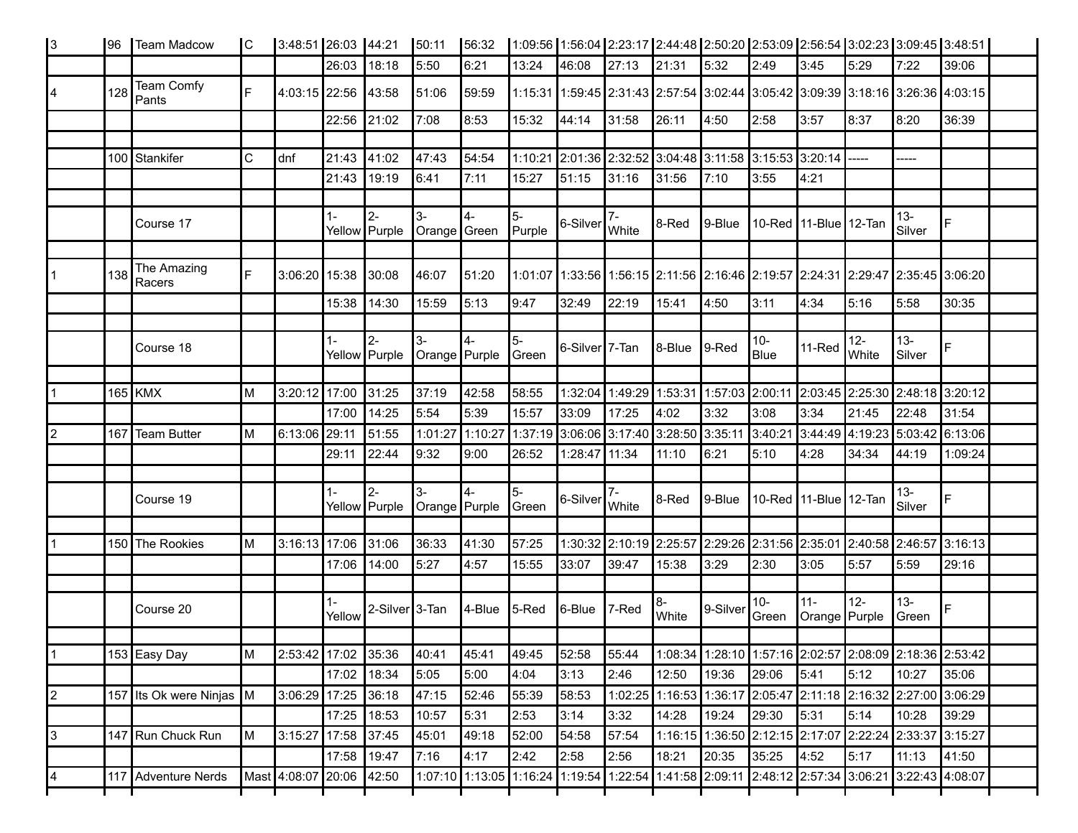| l3             | 196 | Team Madcow              | IC. | 3:48:51 26:03 44:21      |                 |                             | 50:11                | 56:32      |                 |                             |               |             |                                                                                                 |                       |                        |                |                                   | 1:09:56   1:56:04   2:23:17   2:44:48   2:50:20   2:53:09   2:56:54   3:02:23   3:09:45   3:48:51 |  |
|----------------|-----|--------------------------|-----|--------------------------|-----------------|-----------------------------|----------------------|------------|-----------------|-----------------------------|---------------|-------------|-------------------------------------------------------------------------------------------------|-----------------------|------------------------|----------------|-----------------------------------|---------------------------------------------------------------------------------------------------|--|
|                |     |                          |     |                          | 26:03           | 18:18                       | 5:50                 | 6:21       | 13:24           | 46:08                       | 27:13         | 21:31       | 5:32                                                                                            | 2:49                  | 3:45                   | 5:29           | 7:22                              | 39:06                                                                                             |  |
| 14             | 128 | Team Comfy<br>Pants      | E   | 4:03:15 22:56            |                 | 43:58                       | 51:06                | 59:59      |                 |                             |               |             | 1:15:31 1:59:45 2:31:43 2:57:54 3:02:44 3:05:42 3:09:39 3:18:16 3:26:36 4:03:15                 |                       |                        |                |                                   |                                                                                                   |  |
|                |     |                          |     |                          | 22:56           | 21:02                       | 7:08                 | 8:53       | 15:32           | 44:14                       | 31:58         | 26:11       | 4:50                                                                                            | 2:58                  | 3:57                   | 8:37           | 8:20                              | 36:39                                                                                             |  |
|                |     |                          |     |                          |                 |                             |                      |            |                 |                             |               |             |                                                                                                 |                       |                        |                |                                   |                                                                                                   |  |
|                |     | 100 Stankifer            | C   | dnf                      | 21:43           | 41:02                       | 47:43                | 54:54      |                 |                             |               |             | 1:10:21 2:01:36 2:32:52 3:04:48 3:11:58 3:15:53 3:20:14 ----                                    |                       |                        |                | -----                             |                                                                                                   |  |
|                |     |                          |     |                          | 21:43           | 19:19                       | 6:41                 | 7:11       | 15:27           | 51:15                       | 31:16         | 31:56       | 7:10                                                                                            | 3:55                  | 4:21                   |                |                                   |                                                                                                   |  |
|                |     |                          |     |                          |                 |                             |                      |            |                 |                             |               |             |                                                                                                 |                       |                        |                |                                   |                                                                                                   |  |
|                |     | Course 17                |     |                          | $1 -$           | $2-$<br>Yellow Purple       | 3-<br>Orange Green   | 4-         | 5-<br>$P$ urple | 6-Silver                    | $7-$<br>White | 8-Red       | $ 9 - B $                                                                                       | 10-Red 11-Blue 12-Tan |                        |                | $13 -$<br>Silver                  | F                                                                                                 |  |
|                | 138 | The Amazing<br>Racers    | IF  | 3:06:20 15:38            |                 | 30:08                       | 46:07                | 51:20      |                 |                             |               |             | 1:01:07  1:33:56   1:56:15  2:11:56  2:16:46  2:19:57  2:24:31  2:29:47  2:35:45  3:06:20       |                       |                        |                |                                   |                                                                                                   |  |
|                |     |                          |     |                          | 15:38           | 14:30                       | 15:59                | 5:13       | 9:47            | 32:49                       | 22:19         | 15:41       | 4:50                                                                                            | 3:11                  | 4:34                   | 5:16           | 5:58                              | 30:35                                                                                             |  |
|                |     |                          |     |                          |                 |                             |                      |            |                 |                             |               |             |                                                                                                 |                       |                        |                |                                   |                                                                                                   |  |
|                |     | Course 18                |     |                          | $1 -$           | $2 -$<br>Yellow Purple      | l3-<br>Orange Purple |            | $5-$<br>Green   | 6-Silver <sup>17</sup> -Tan |               | 8-Blue      | $\vert$ 9-Red                                                                                   | $10-$<br>Blue         | 11-Red                 | $12-$<br>White | $13-$<br>Silver                   | $\overline{F}$                                                                                    |  |
|                |     |                          |     |                          |                 |                             |                      |            |                 |                             |               |             |                                                                                                 |                       |                        |                |                                   |                                                                                                   |  |
| 1              |     | $165$ KMX                | ΙM  | 3:20:12 17:00            |                 | 31:25                       | 37:19                | 42:58      | 58:55           |                             |               |             | 1:32:04 1:49:29 1:53:31 1:57:03 2:00:11                                                         |                       |                        |                | $2:03:45$ 2:25:30 2:48:18 3:20:12 |                                                                                                   |  |
|                |     |                          |     |                          | 17:00           | 14:25                       | 5:54                 | 5:39       | 15:57           | 33:09                       | 17:25         | 4:02        | 3:32                                                                                            | 3:08                  | 3:34                   | 21:45          | 22:48                             | 31:54                                                                                             |  |
| $\overline{2}$ |     | 167 Team Butter          | M   | 6:13:06 29:11            |                 | 51:55                       | 1:01:27 1:10:27      |            |                 |                             |               |             | 1:37:19 3:06:06 3:17:40 3:28:50 3:35:11 3:40:21                                                 |                       |                        |                | 3:44:49 4:19:23 5:03:42 6:13:06   |                                                                                                   |  |
|                |     |                          |     |                          | 29:11           | 22:44                       | 9:32                 | 9:00       | 26:52           | 1:28:47                     | 11:34         | 11:10       | 6:21                                                                                            | 5:10                  | 4:28                   | 34:34          | 44:19                             | 1:09:24                                                                                           |  |
|                |     |                          |     |                          |                 |                             | 3-                   |            |                 |                             |               |             |                                                                                                 |                       |                        |                |                                   |                                                                                                   |  |
|                |     | Course 19                |     |                          | $1 -$           | $2-$<br>Yellow Purple       | Orange Purple        | l4-        | 5-<br>Green     | 6-Silver White              | 7-            | 8-Red       | 9-Blue 10-Red 11-Blue 12-Tan                                                                    |                       |                        |                | $13 -$<br>Silver                  | F                                                                                                 |  |
|                |     | 150 The Rookies          | ΙM  | 3:16:13 17:06 31:06      |                 |                             | 36:33                | 41:30      | 57:25           |                             |               |             | 1:30:32 2:10:19 2:25:57 2:29:26 2:31:56 2:35:01 2:40:58 2:46:57 3:16:13                         |                       |                        |                |                                   |                                                                                                   |  |
|                |     |                          |     |                          | 17:06           | 14:00                       | 5:27                 | 4:57       | 15:55           | 33:07                       | 39:47         | 15:38       | 3:29                                                                                            | 2:30                  | 3:05                   | 5:57           | 5:59                              | 29:16                                                                                             |  |
|                |     |                          |     |                          |                 |                             |                      |            |                 |                             |               |             |                                                                                                 |                       |                        |                |                                   |                                                                                                   |  |
|                |     | Course 20                |     |                          | $1 -$<br>Yellow | 2-Silver <sup>1</sup> 3-Tan |                      | $4 - Blue$ | $5$ -Red        | 6-Blue                      | $7$ -Red      | 8-<br>White | 9-Silver                                                                                        | $10-$<br>Green        | $11-$<br>Orange Purple | $12-$          | $13 -$<br><b>S</b> reen           | $\overline{F}$                                                                                    |  |
|                |     |                          |     |                          |                 |                             |                      |            |                 |                             |               |             |                                                                                                 |                       |                        |                |                                   |                                                                                                   |  |
| 1              |     | 153 Easy Day             | M   | 2:53:42 17:02 35:36      |                 |                             | 40:41                | 45:41      | 49:45           | 52:58                       | 55:44         |             | 1:08:34 1:28:10 1:57:16 2:02:57 2:08:09 2:18:36 2:53:42                                         |                       |                        |                |                                   |                                                                                                   |  |
|                |     |                          |     |                          | 17:02 18:34     |                             | 5:05                 | 5:00       | 4:04            | 3:13                        | 2:46          | 12:50       | 19:36                                                                                           | 29:06                 | 5:41                   | 5:12           | 10:27                             | 35:06                                                                                             |  |
| $\vert$ 2      |     | 157 Its Ok were Ninjas M |     | 3:06:29 17:25 36:18      |                 |                             | 47:15                | 52:46      | 55:39           | 58:53                       |               |             | 1:02:25 1:16:53 1:36:17 2:05:47 2:11:18 2:16:32 2:27:00 3:06:29                                 |                       |                        |                |                                   |                                                                                                   |  |
|                |     |                          |     |                          | 17:25 18:53     |                             | 10:57                | 5:31       | 2:53            | 3:14                        | 3:32          | 14:28       | 19:24                                                                                           | 29:30                 | 5:31                   | 5:14           | 10:28                             | 39:29                                                                                             |  |
| 3              |     | 147 Run Chuck Run        | M   | 3:15:27 17:58 37:45      |                 |                             | 45:01                | 49:18      | 52:00           | 54:58                       | 57:54         |             | 1:16:15 1:36:50 2:12:15 2:17:07 2:22:24 2:33:37 3:15:27                                         |                       |                        |                |                                   |                                                                                                   |  |
|                |     |                          |     |                          | 17:58 19:47     |                             | 7:16                 | 4:17       | 2:42            | 2:58                        | 2:56          | 18:21       | 20:35                                                                                           | 35:25                 | 4:52                   | 5:17           | 11:13                             | 41:50                                                                                             |  |
| 4              |     | 117 Adventure Nerds      |     | Mast 4:08:07 20:06 42:50 |                 |                             |                      |            |                 |                             |               |             | 1:07:10 1:13:05 1:16:24 1:19:54 1:22:54 1:41:58 2:09:11 2:48:12 2:57:34 3:06:21 3:22:43 4:08:07 |                       |                        |                |                                   |                                                                                                   |  |
|                |     |                          |     |                          |                 |                             |                      |            |                 |                             |               |             |                                                                                                 |                       |                        |                |                                   |                                                                                                   |  |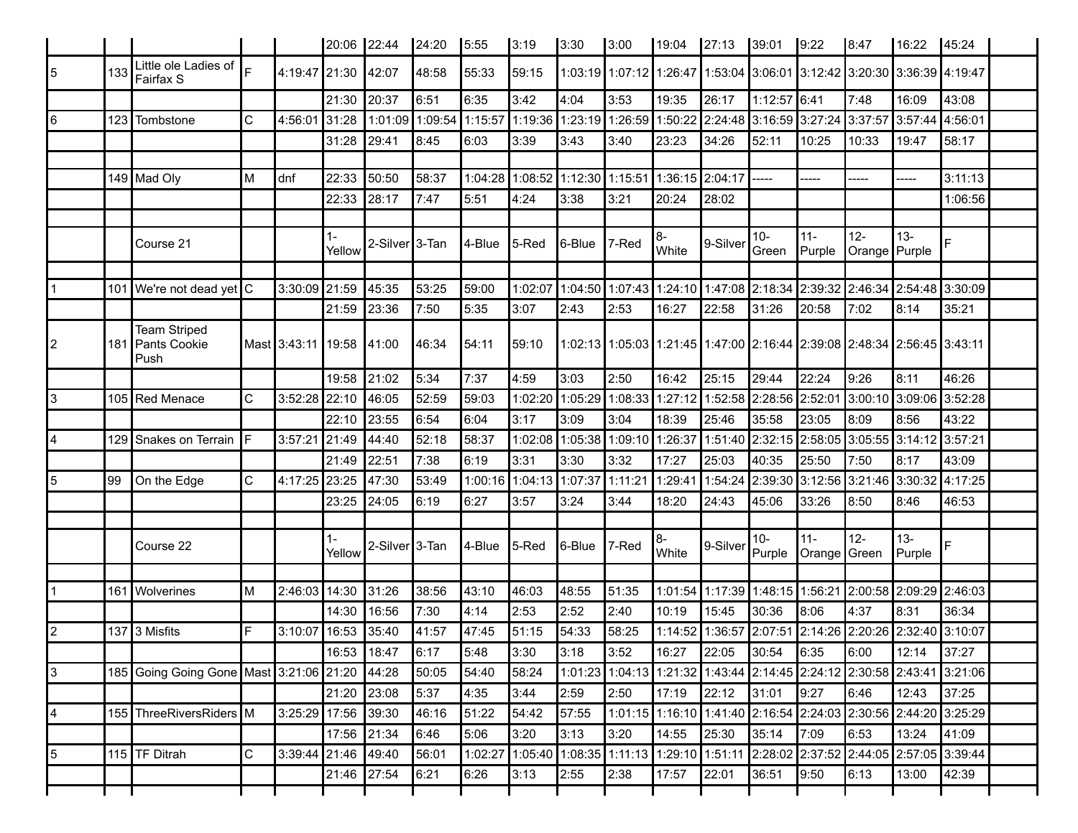|                |     |                                                 |              |                     | 20:06 22:44     |                             | 24:20   | 5:55    | 3:19                                                                          | 3:30            | 3:00    | 19:04∥        | 27:13                                                                           | 39:01                          | 9:22                   | 8:47                   | 16:22                                   | 45:24   |  |
|----------------|-----|-------------------------------------------------|--------------|---------------------|-----------------|-----------------------------|---------|---------|-------------------------------------------------------------------------------|-----------------|---------|---------------|---------------------------------------------------------------------------------|--------------------------------|------------------------|------------------------|-----------------------------------------|---------|--|
| 5              | 133 | Little ole Ladies of<br>Fairfax S               |              | 4:19:47 21:30       |                 | 42:07                       | 48:58   | 55:33   | 59:15                                                                         |                 |         |               | 1:03:19 1:07:12 1:26:47 1:53:04 3:06:01 3:12:42 3:20:30 3:36:39 4:19:47         |                                |                        |                        |                                         |         |  |
|                |     |                                                 |              |                     | 21:30           | 20:37                       | 6:51    | 6:35    | 3:42                                                                          | 4:04            | 3:53    | 19:35         | 26:17                                                                           | 1:12:57 6:41                   |                        | 7:48                   | 16:09                                   | 43:08   |  |
| 6              | 123 | Tombstone                                       | C            | 4:56:01             | 31:28           | 1:01:09                     | 1:09:54 | 1:15:57 | 1:19:36   1:23:19   1:26:59   1:50:22   2:24:48   3:16:59   3:27:24   3:37:57 |                 |         |               |                                                                                 |                                |                        |                        | 3:57:44                                 | 4:56:01 |  |
|                |     |                                                 |              |                     | 31:28           | 29:41                       | 8:45    | 6:03    | 3:39                                                                          | 3:43            | 3:40    | 23:23         | 34:26                                                                           | 52:11                          | 10:25                  | 10:33                  | 19:47                                   | 58:17   |  |
|                |     |                                                 |              |                     |                 |                             |         |         |                                                                               |                 |         |               |                                                                                 |                                |                        |                        |                                         |         |  |
|                |     | 149 Mad Oly                                     | M            | dnf                 | 22:33           | 50:50                       | 58:37   | 1:04:28 | 1:08:52                                                                       | 1:12:30 1:15:51 |         |               | 1:36:15 2:04:17                                                                 | -----                          | -----                  |                        | -----                                   | 3:11:13 |  |
|                |     |                                                 |              |                     | 22:33           | 28:17                       | 7:47    | 5:51    | 4:24                                                                          | 3:38            | 3:21    | 20:24         | 28:02                                                                           |                                |                        |                        |                                         | 1:06:56 |  |
|                |     |                                                 |              |                     |                 |                             |         |         |                                                                               |                 |         |               |                                                                                 |                                |                        |                        |                                         |         |  |
|                |     | Course 21                                       |              |                     | $1 -$<br>Yellow | 2-Silver <sup>1</sup> 3-Tan |         | 4-Blue  | 5-Red                                                                         | ∥6-Blue         | 7-Red   | 8-<br>White   | 9-Silver                                                                        | $10 -$<br>Green                | $11 -$<br>Purple       | $12-$<br>Orange Purple | 13-                                     | F       |  |
|                |     |                                                 |              |                     |                 |                             |         |         |                                                                               |                 |         |               |                                                                                 |                                |                        |                        |                                         |         |  |
|                |     | 101 We're not dead yet C                        |              | 3:30:09 21:59       |                 | 45:35                       | 53:25   | 59:00   | 1:02:07                                                                       | 1:04:50         |         |               | 1:07:43  1:24:10  1:47:08  2:18:34  2:39:32  2:46:34                            |                                |                        |                        | 2:54:48                                 | 3:30:09 |  |
|                |     |                                                 |              |                     | 21:59           | 23:36                       | 7:50    | 5:35    | 3:07                                                                          | 2:43            | 2:53    | 16:27         | 22:58                                                                           | 31:26                          | 20:58                  | 7:02                   | 8:14                                    | 35:21   |  |
| 2              |     | <b>Team Striped</b><br>181 Pants Cookie<br>Push |              | Mast 3:43:11 19:58  |                 | 41:00                       | 46:34   | 54:11   | 159:10                                                                        |                 |         |               | 1:02:13  1:05:03  1:21:45  1:47:00  2:16:44  2:39:08  2:48:34  2:56:45  3:43:11 |                                |                        |                        |                                         |         |  |
|                |     |                                                 |              |                     | 19:58           | 21:02                       | 5:34    | 7:37    | 4:59                                                                          | 3:03            | 2:50    | 16:42         | 25:15                                                                           | 29:44                          | 22:24                  | 9:26                   | 8:11                                    | 46:26   |  |
| 3              |     | 105 Red Menace                                  | $\mathsf{C}$ | 3:52:28             | 22:10           | 46:05                       | 52:59   | 59:03   | 1:02:20                                                                       | 1:05:29         | 1:08:33 | 1:27:12       |                                                                                 | 1:52:58 2:28:56                | 2:52:01                | 3:00:10                | 3:09:06                                 | 3:52:28 |  |
|                |     |                                                 |              |                     | 22:10           | 23:55                       | 6:54    | 6:04    | 3:17                                                                          | 3:09            | 3:04    | 18:39         | 25:46                                                                           | 35:58                          | 23:05                  | 8:09                   | 8:56                                    | 43:22   |  |
| 4              | 129 | Snakes on Terrain                               | ΙF           | 3:57:2'             | 21:49           | 44:40                       | 52:18   | 58:37   | 1:02:08                                                                       | 1:05:38         | 1:09:10 | 1:26:37       |                                                                                 | 1:51:40 2:32:15                | 2:58:05                | 3:05:55                | 3:14:12                                 | 3:57:21 |  |
|                |     |                                                 |              |                     | 21:49           | 22:51                       | 7:38    | 6:19    | 3:31                                                                          | 3:30            | 3:32    | 17:27         | 25:03                                                                           | 40:35                          | 25:50                  | 7:50                   | 8:17                                    | 43:09   |  |
| 5              | 99  | On the Edge                                     | C            | 4:17:25             | 23:25           | 47:30                       | 53:49   | 1:00:16 | 1:04:13                                                                       | 1:07:37         | 1:11:21 | 1:29:41       | 1:54:24                                                                         | 2:39:30                        | 3:12:56                | 3:21:46                | 3:30:32                                 | 4:17:25 |  |
|                |     |                                                 |              |                     | 23:25           | 24:05                       | 6:19    | 6:27    | 3:57                                                                          | 3:24            | 3:44    | 18:20         | 24:43                                                                           | 45:06                          | 33:26                  | 8:50                   | 8:46                                    | 46:53   |  |
|                |     |                                                 |              |                     |                 |                             |         |         |                                                                               |                 |         |               |                                                                                 |                                |                        |                        |                                         |         |  |
|                |     | Course 22                                       |              |                     | $1 -$<br>Yellow | 2-Silver <sup>1</sup> 3-Tan |         | 4-Blue  | 5-Red                                                                         | 6-Blue          | 7-Red   | 8-<br>White   | 9-Silver                                                                        | $10 -$<br>Purple               | $11 -$<br>Orange Green | $12-$                  | 13-<br>Purple                           | F       |  |
|                |     |                                                 |              |                     |                 |                             |         |         |                                                                               |                 |         |               |                                                                                 |                                |                        |                        |                                         |         |  |
|                | 161 | <b>Wolverines</b>                               | M            | 2:46:03             | 14:30           | 31:26                       | 38:56   | 43:10   | 46:03                                                                         | 48:55           | 51:35   |               | 1:01:54 1:17:39 1:48:15 1:56:21                                                 |                                |                        | 2:00:58 2:09:29        |                                         | 2:46:03 |  |
|                |     |                                                 |              |                     | 14:30           | 16:56                       | 7:30    | 4:14    | 2:53                                                                          | 2:52            | 2:40    | 10:19         | 15:45                                                                           | 30:36                          | 8:06                   | 4:37                   | 8:31                                    | 36:34   |  |
| $\overline{2}$ |     | 137 3 Misfits                                   | F            | 3:10:07             | 16:53           | 35:40                       | 41:57   | 47:45   | 51:15                                                                         | 54:33           | 58:25   | 1:14:52       |                                                                                 |                                |                        |                        | 1:36:57 2:07:51 2:14:26 2:20:26 2:32:40 | 3:10:07 |  |
|                |     |                                                 |              |                     | 16:53 18:47     |                             | 6:17    | 5:48    | 3:30                                                                          | 3:18            | 3:52    | $16:27$ 22:05 |                                                                                 | $\vert 30:54 \vert 6:35 \vert$ |                        | 6:00                   | 12:14                                   | 37:27   |  |
| l3             |     | 185 Going Going Gone Mast 3:21:06 21:20         |              |                     |                 | 44:28                       | 50:05   | 54:40   | 58:24                                                                         |                 |         |               | 1:01:23 1:04:13 1:21:32 1:43:44 2:14:45 2:24:12 2:30:58 2:43:41 3:21:06         |                                |                        |                        |                                         |         |  |
|                |     |                                                 |              |                     | 21:20 23:08     |                             | 5:37    | 4:35    | 3:44                                                                          | 2:59            | 2:50    | 17:19         | 22:12                                                                           | 31:01                          | 9:27                   | 6:46                   | 12:43                                   | 37:25   |  |
| 4              |     | 155 ThreeRiversRiders M                         |              | 3:25:29 17:56 39:30 |                 |                             | 46:16   | 51:22   | 54:42                                                                         | 57:55           |         |               | 1:01:15 1:16:10 1:41:40 2:16:54 2:24:03 2:30:56 2:44:20 3:25:29                 |                                |                        |                        |                                         |         |  |
|                |     |                                                 |              |                     | 17:56 21:34     |                             | 6:46    | 5:06    | 3:20                                                                          | 3:13            | 3:20    | 14:55         | 25:30                                                                           | 35:14                          | 7:09                   | 6:53                   | 13:24                                   | 41:09   |  |
| 5              |     | 115   TF Ditrah                                 | $\mathsf C$  | 3:39:44 21:46 49:40 |                 |                             | 56:01   | 1:02:27 |                                                                               |                 |         |               | 1:05:40 1:08:35 1:11:13 1:29:10 1:51:11 2:28:02 2:37:52 2:44:05 2:57:05 3:39:44 |                                |                        |                        |                                         |         |  |
|                |     |                                                 |              |                     | 21:46 27:54     |                             | 6:21    | 6:26    | 3:13                                                                          | 2:55            | 2:38    | 17:57         | 22:01                                                                           | 36:51                          | 9:50                   | 6:13                   | 13:00                                   | 42:39   |  |
|                |     |                                                 |              |                     |                 |                             |         |         |                                                                               |                 |         |               |                                                                                 |                                |                        |                        |                                         |         |  |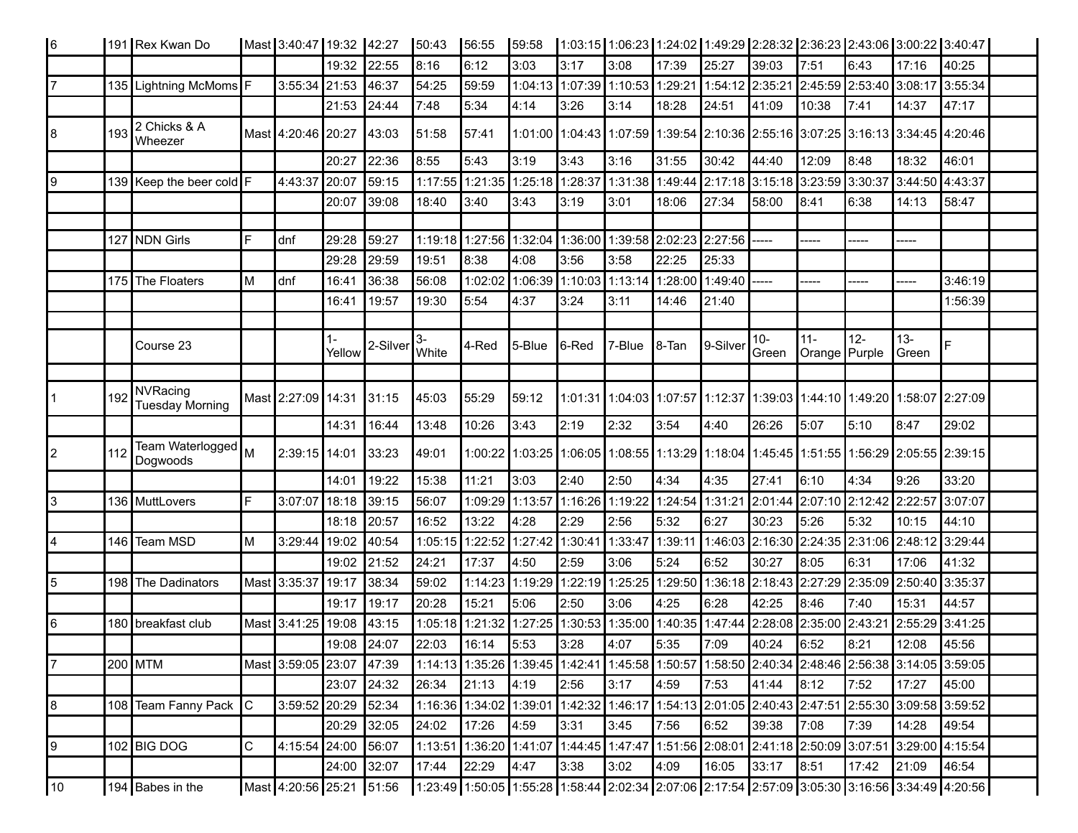| 16  |     | 191 Rex Kwan Do                    |   | Mast 3:40:47 19:32 42:27 |                 |          | 50:43            | 56:55                   | 59:58                                 |           |                                 |                 |                                                                                                                       |                |                         |                         |                                 | 1:03:15  1:06:23  1:24:02  1:49:29  2:28:32  2:36:23  2:43:06  3:00:22  3:40:47                 |  |
|-----|-----|------------------------------------|---|--------------------------|-----------------|----------|------------------|-------------------------|---------------------------------------|-----------|---------------------------------|-----------------|-----------------------------------------------------------------------------------------------------------------------|----------------|-------------------------|-------------------------|---------------------------------|-------------------------------------------------------------------------------------------------|--|
|     |     |                                    |   |                          | 19:32           | 22:55    | 8:16             | 6:12                    | 3:03                                  | 3:17      | 3:08                            | 17:39           | 25:27                                                                                                                 | 39:03          | 7:51                    | 6:43                    | 17:16                           | 40:25                                                                                           |  |
| 17  |     | 135 Lightning McMoms F             |   | 3:55:34 21:53            |                 | 46:37    | 54:25            | 59:59                   |                                       |           | 1:04:13 1:07:39 1:10:53 1:29:21 |                 | 1:54:12 2:35:21                                                                                                       |                |                         | 2:45:59 2:53:40 3:08:17 |                                 | 3:55:34                                                                                         |  |
|     |     |                                    |   |                          | 21:53           | 24:44    | 7:48             | 5:34                    | 4:14                                  | 3:26      | 3:14                            | 18:28           | 24:51                                                                                                                 | 41:09          | 10:38                   | 7:41                    | 14:37                           | 47:17                                                                                           |  |
| 18  | 193 | 2 Chicks & A<br>Wheezer            |   | Mast 4:20:46 20:27       |                 | 43:03    | 51:58            | 57:41                   |                                       |           |                                 |                 | 1:01:00   1:04:43   1:07:59   1:39:54   2:10:36   2:55:16   3:07:25   3:16:13   3:34:45   4:20:46                     |                |                         |                         |                                 |                                                                                                 |  |
|     |     |                                    |   |                          | 20:27           | 22:36    | 8:55             | 5:43                    | 3:19                                  | 3:43      | 3:16                            | 31:55           | 30:42                                                                                                                 | 44:40          | 12:09                   | 8:48                    | 18:32                           | 46:01                                                                                           |  |
| 9   |     | 139 Keep the beer cold F           |   | 4:43:37                  | 20:07           | 59:15    |                  |                         |                                       |           |                                 |                 | 1:17:55 1:21:35 1:25:18 1:28:37 1:31:38 1:49:44 2:17:18 3:15:18                                                       |                |                         |                         | 3:23:59 3:30:37 3:44:50 4:43:37 |                                                                                                 |  |
|     |     |                                    |   |                          | 20:07           | 39:08    | 18:40            | 3:40                    | 3:43                                  | 3:19      | 3:01                            | 18:06           | 27:34                                                                                                                 | 58:00          | 8:41                    | 6:38                    | 14:13                           | 58:47                                                                                           |  |
|     |     |                                    |   |                          |                 |          |                  |                         |                                       |           |                                 |                 |                                                                                                                       |                |                         |                         |                                 |                                                                                                 |  |
|     |     | 127 NDN Girls                      | E | dnf                      | 29:28           | 59:27    | 1:19:18          |                         | 1:27:56  1:32:04   1:36:00            |           |                                 | 1:39:58 2:02:23 | 2:27:56                                                                                                               |                |                         |                         |                                 |                                                                                                 |  |
|     |     |                                    |   |                          | 29:28           | 29:59    | 19:51            | 8:38                    | 4:08                                  | 3:56      | 3:58                            | 22:25           | 25:33                                                                                                                 |                |                         |                         |                                 |                                                                                                 |  |
|     |     | 175 The Floaters                   | M | dnf                      | 16:41           | 36:38    | 56:08            | 1:02:02                 | 1:06:39   1:10:03   1:13:14   1:28:00 |           |                                 |                 | 1:49:40                                                                                                               |                | -----                   |                         |                                 | 3:46:19                                                                                         |  |
|     |     |                                    |   |                          | 16:41           | 19:57    | 19:30            | 5:54                    | 4:37                                  | 3:24      | 3:11                            | 14:46           | 21:40                                                                                                                 |                |                         |                         |                                 | 1:56:39                                                                                         |  |
|     |     |                                    |   |                          |                 |          |                  |                         |                                       |           |                                 |                 |                                                                                                                       |                |                         |                         |                                 |                                                                                                 |  |
|     |     | Course 23                          |   |                          | $1 -$<br>Yellow | 2-Silver | 3-<br>White      | 4-Red                   | 5-Blue                                | $ 6$ -Red | 7-Blue                          | 8-Tan           | 9-Silver                                                                                                              | $10-$<br>Green | $11 -$<br>Orange Purple | $12-$                   | $13 -$<br><b>∣</b> Green        |                                                                                                 |  |
|     |     |                                    |   |                          |                 |          |                  |                         |                                       |           |                                 |                 |                                                                                                                       |                |                         |                         |                                 |                                                                                                 |  |
| l 1 | 192 | NVRacing<br><b>Tuesday Morning</b> |   | Mast 2:27:09 14:31       |                 | 31:15    | 45:03            | 55:29                   | 59:12                                 |           |                                 |                 | 1:01:31  1:04:03  1:07:57  1:12:37  1:39:03  1:44:10  1:49:20  1:58:07  2:27:09                                       |                |                         |                         |                                 |                                                                                                 |  |
|     |     |                                    |   |                          | 14:31           | 16:44    | 13:48            | 10:26                   | 3:43                                  | 2:19      | 2:32                            | 3:54            | 4:40                                                                                                                  | 26:26          | 5:07                    | 5:10                    | 8:47                            | 29:02                                                                                           |  |
| 12  | 112 | Team Waterlogged M<br>Dogwoods     |   | 2:39:15 14:01            |                 | 33:23    | 49:01            | 1:00:22                 |                                       |           |                                 |                 | 1:03:25  1:06:05  1:08:55  1:13:29  1:18:04  1:45:45  1:51:55  1:56:29  2:05:55  2:39:15                              |                |                         |                         |                                 |                                                                                                 |  |
|     |     |                                    |   |                          | 14:01           | 19:22    | 15:38            | 11:21                   | 3:03                                  | 2:40      | 2:50                            | 4:34            | 4:35                                                                                                                  | 27:41          | 6:10                    | 4:34                    | 9:26                            | 33:20                                                                                           |  |
| l3  |     | 136 MuttLovers                     | F | 3:07:07                  | 18:18           | 39:15    | 56:07            | 1:09:29                 | 1:13:57                               | 1:16:26   | 1:19:22                         | 1:24:54         | 1:31:21                                                                                                               | 2:01:44        | 2:07:10 2:12:42 2:22:57 |                         |                                 | 3:07:07                                                                                         |  |
|     |     |                                    |   |                          | 18:18           | 20:57    | 16:52            | 13:22                   | 4:28                                  | 2:29      | 2:56                            | 5:32            | 6:27                                                                                                                  | 30:23          | 5:26                    | 5:32                    | 10:15                           | 44:10                                                                                           |  |
| 4   | 146 | Team MSD                           | M | 3:29:44                  | 19:02           | 40:54    | 1:05:15          | 1:22:52 1:27:42         |                                       | 1:30:41   | 1:33:47                         | 1:39:11         | 1:46:03                                                                                                               | 2:16:30        |                         |                         | 2:24:35 2:31:06 2:48:12         | 3:29:44                                                                                         |  |
|     |     |                                    |   |                          | 19:02           | 21:52    | 24:21            | 17:37                   | 4:50                                  | 2:59      | 3:06                            | 5:24            | 6:52                                                                                                                  | 30:27          | 8:05                    | 6:31                    | 17:06                           | 41:32                                                                                           |  |
| 15  |     | 198 The Dadinators                 |   | Mast 3:35:37             | 19:17           | 38:34    | 59:02            | 1:14:23 1:19:29         |                                       | 1:22:19   | 1:25:25                         | 1:29:50         | 1:36:18 2:18:43                                                                                                       |                | 2:27:29                 | 2:35:09 2:50:40         |                                 | 3:35:37                                                                                         |  |
|     |     |                                    |   |                          | 19:17           | 19:17    | 20:28            | 15:21                   | 5:06                                  | 2:50      | 3:06                            | 4:25            | 6:28                                                                                                                  | 42:25          | 8:46                    | 7:40                    | 15:31                           | 44:57                                                                                           |  |
| 16  |     | 180 breakfast club                 |   | Mast 3:41:25             | 19:08           | 43:15    |                  |                         |                                       |           |                                 |                 | 1:05:18 1:21:32 1:27:25 1:30:53 1:35:00 1:40:35 1:47:44 2:28:08                                                       |                | 2:35:00 2:43:21         |                         | $2:55:29$ 3:41:25               |                                                                                                 |  |
|     |     |                                    |   |                          | 19:08 24:07     |          | 22:03 16:14 5:53 |                         |                                       | 3:28      | 4:07                            | 5:35            | 7:09                                                                                                                  | 40:24          | 6:52                    | 8:21                    | 12:08                           | 45:56                                                                                           |  |
| 7   |     | 200 MTM                            |   | Mast 3:59:05 23:07 47:39 |                 |          |                  |                         |                                       |           |                                 |                 | 1:14:13   1:35:26   1:39:45   1:42:41   1:45:58   1:50:57   1:58:50   2:40:34   2:48:46   2:56:38   3:14:05   3:59:05 |                |                         |                         |                                 |                                                                                                 |  |
|     |     |                                    |   |                          | 23:07 24:32     |          | 26:34            | 21:13                   | 4:19                                  | 2:56      | 3:17                            | 4:59            | 7:53                                                                                                                  | 41:44          | 8:12                    | 7:52                    | 17:27                           | 45:00                                                                                           |  |
| 8   |     | 108 Team Fanny Pack C              |   | 3:59:52 20:29            |                 | 52:34    |                  | 1:16:36 1:34:02 1:39:01 |                                       |           |                                 |                 |                                                                                                                       |                |                         |                         |                                 | 1:42:32 1:46:17 1:54:13 2:01:05 2:40:43 2:47:51 2:55:30 3:09:58 3:59:52                         |  |
|     |     |                                    |   |                          | 20:29 32:05     |          | 24:02            | 17:26                   | 4:59                                  | 3:31      | 3:45                            | 7:56            | 6:52                                                                                                                  | 39:38          | 7:08                    | 7:39                    | 14:28                           | 49:54                                                                                           |  |
| 9   |     | 102 BIG DOG                        | C | 4:15:54 24:00 56:07      |                 |          |                  |                         |                                       |           |                                 |                 | 1:13:51  1:36:20  1:41:07  1:44:45  1:47:47  1:51:56  2:08:01  2:41:18  2:50:09  3:07:51  3:29:00  4:15:54            |                |                         |                         |                                 |                                                                                                 |  |
|     |     |                                    |   |                          | 24:00 32:07     |          | 17:44            | 22:29                   | 4:47                                  | 3:38      | 3:02                            | 4:09            | 16:05                                                                                                                 | 33:17          | 8:51                    | 17:42                   | 21:09                           | 46:54                                                                                           |  |
| 10  |     | 194 Babes in the                   |   | Mast 4:20:56 25:21 51:56 |                 |          |                  |                         |                                       |           |                                 |                 |                                                                                                                       |                |                         |                         |                                 | 1:23:49 1:50:05 1:55:28 1:58:44 2:02:34 2:07:06 2:17:54 2:57:09 3:05:30 3:16:56 3:34:49 4:20:56 |  |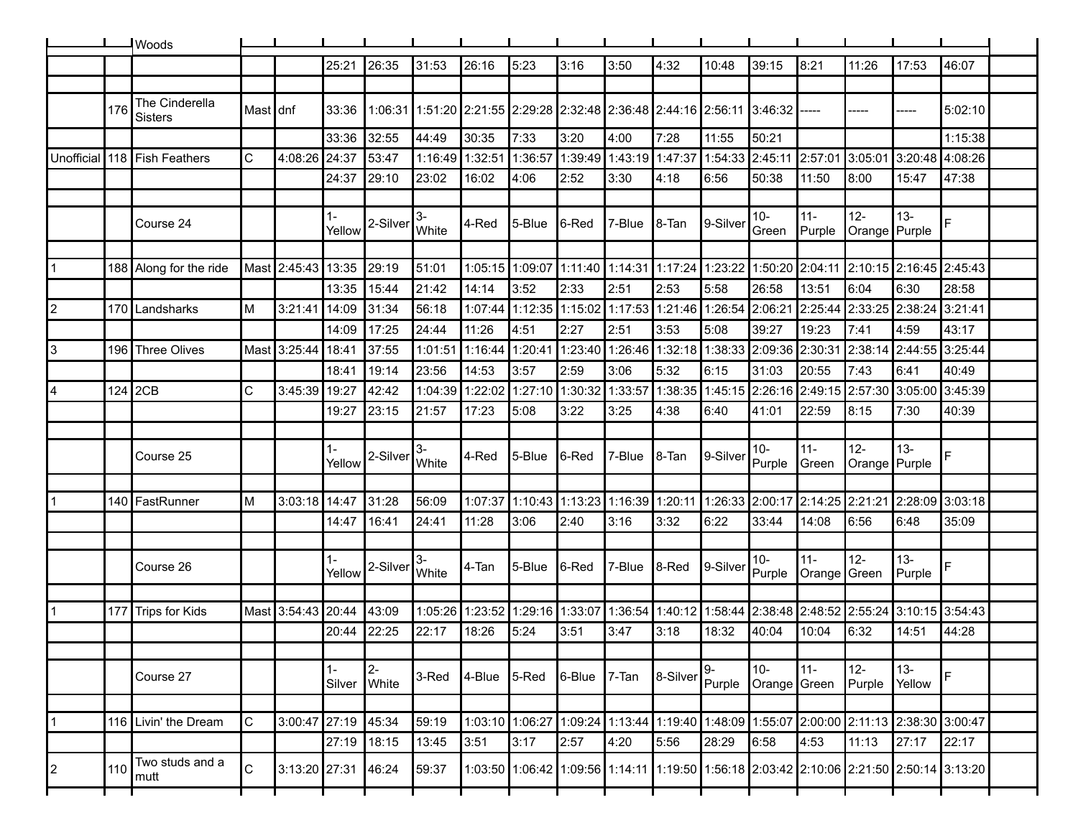|            |     | <b>Woods</b>              |                |                     |        |                       |             |         |                                                                         |                |                         |                                 |                 |                       |                     |                                 |                  |                                                                                         |  |
|------------|-----|---------------------------|----------------|---------------------|--------|-----------------------|-------------|---------|-------------------------------------------------------------------------|----------------|-------------------------|---------------------------------|-----------------|-----------------------|---------------------|---------------------------------|------------------|-----------------------------------------------------------------------------------------|--|
|            |     |                           |                |                     | 25:21  | 26:35                 | 31:53       | 26:16   | 5:23                                                                    | 3:16           | 3:50                    | 4:32                            | 10:48           | 39:15                 | 8:21                | 11:26                           | 17:53            | 46:07                                                                                   |  |
|            |     |                           |                |                     |        |                       |             |         |                                                                         |                |                         |                                 |                 |                       |                     |                                 |                  |                                                                                         |  |
|            | 176 | The Cinderella<br>Sisters | Mast dnf       |                     | 33:36  |                       |             |         | 1:06:31 1:51:20 2:21:55 2:29:28 2:32:48 2:36:48 2:44:16 2:56:11 3:46:32 |                |                         |                                 |                 |                       |                     |                                 |                  | 5:02:10                                                                                 |  |
|            |     |                           |                |                     | 33:36  | 32:55                 | 44:49       | 30:35   | 7:33                                                                    | 3:20           | 4:00                    | 7:28                            | 11:55           | 50:21                 |                     |                                 |                  | 1:15:38                                                                                 |  |
| Unofficial | 118 | Fish Feathers             | $\mathsf{C}$   | 4:08:26             | 24:37  | 53:47                 | 1:16:49     | 1:32:51 | 1:36:57                                                                 | 1:39:49        | 1:43:19 1:47:37         |                                 | 1:54:33 2:45:11 |                       | 2:57:01             | 3:05:01                         | 3:20:48          | 4:08:26                                                                                 |  |
|            |     |                           |                |                     | 24:37  | 29:10                 | 23:02       | 16:02   | 4:06                                                                    | 2:52           | 3:30                    | 4:18                            | 6:56            | 50:38                 | 11:50               | 8:00                            | 15:47            | 47:38                                                                                   |  |
|            |     |                           |                |                     |        |                       |             |         |                                                                         |                |                         |                                 |                 |                       |                     |                                 |                  |                                                                                         |  |
|            |     | Course 24                 |                |                     | Yellow | 2-Silver              | 3-<br>White | 4-Red   | 5-Blue                                                                  | <b>1</b> 6-Red | 7-Blue                  | ∎8-Tan                          | 9-Silver        | $10 -$<br>Green       | $11 -$<br>Purple    | $12 -$<br>Orange Purple         | $13 -$           | F                                                                                       |  |
|            |     |                           |                |                     |        |                       |             |         |                                                                         |                |                         |                                 |                 |                       |                     |                                 |                  |                                                                                         |  |
|            |     | 188 Along for the ride    | Mast           | 2:45:43             | 13:35  | 29:19                 | 51:01       |         | 1:05:15 1:09:07                                                         |                | 1:11:40 1:14:31 1:17:24 |                                 | 1:23:22         | 1:50:20 2:04:11       |                     | $2:10:15$ 2:16:45 2:45:43       |                  |                                                                                         |  |
|            |     |                           |                |                     | 13:35  | 15:44                 | 21:42       | 14:14   | 3:52                                                                    | 2:33           | 2:51                    | 2:53                            | 5:58            | 26:58                 | 13:51               | 6:04                            | 6:30             | 28:58                                                                                   |  |
| 2          |     | 170 Landsharks            | ΙM             | 3:21:41             | 14:09  | 31:34                 | 56:18       | 1:07:44 | 1:12:35                                                                 | 1:15:02        |                         | 1:17:53 1:21:46                 | 1:26:54         | 2:06:21               | 2:25:44             | 2:33:25                         | 2:38:24          | 3:21:41                                                                                 |  |
|            |     |                           |                |                     | 14:09  | 17:25                 | 24:44       | 11:26   | 4:51                                                                    | 2:27           | 2:51                    | 3:53                            | 5:08            | 39:27                 | 19:23               | 7:41                            | 4:59             | 43:17                                                                                   |  |
| 3          | 196 | <b>Three Olives</b>       | Mast           | 3:25:44             | 18:41  | 37:55                 | 1:01:51     | 1:16:44 | 1:20:41                                                                 | 1:23:40        |                         | 1:26:46 1:32:18                 | 1:38:33         | 2:09:36               | 2:30:31             | 2:38:14                         | 2:44:55          | 3:25:44                                                                                 |  |
|            |     |                           |                |                     | 18:41  | 19:14                 | 23:56       | 14:53   | 3:57                                                                    | 2:59           | 3:06                    | 5:32                            | 6:15            | 31:03                 | 20:55               | 7:43                            | 6:41             | 40:49                                                                                   |  |
| 14         | 124 | 2CB                       | $\mathsf{C}$   | 3:45:39             | 19:27  | 42:42                 | 1:04:39     | 1:22:02 | 1:27:10                                                                 | 1:30:32        | 1:33:57                 | 1:38:35                         | 1:45:15 2:26:16 |                       | 2:49:15             | 2:57:30                         | 3:05:00          | 3:45:39                                                                                 |  |
|            |     |                           |                |                     | 19:27  | 23:15                 | 21:57       | 17:23   | 5:08                                                                    | 3:22           | 3:25                    | 4:38                            | 6:40            | 41:01                 | 22:59               | 8:15                            | 7:30             | 40:39                                                                                   |  |
|            |     |                           |                |                     | $1 -$  |                       | 3-          |         |                                                                         |                |                         |                                 |                 | $10 -$                | $11 -$              | $12 -$                          | $13 -$           |                                                                                         |  |
|            |     | Course 25                 |                |                     | Yellow | 2-Silver              | White       | 4-Red   | 5-Blue                                                                  | 6-Red          | 7-Blue                  | ∥8-Tan                          | 9-Silver        | Purple                | Green               | Orange Purple                   |                  |                                                                                         |  |
|            | 140 | FastRunner                | ΙM             | 3:03:18 14:47       |        | 31:28                 | 56:09       | 1:07:37 | 1:10:43 1:13:23                                                         |                | 1:16:39 1:20:11         |                                 | 1:26:33 2:00:17 |                       | 2:14:25             | 2:21:21                         | 2:28:09 3:03:18  |                                                                                         |  |
|            |     |                           |                |                     | 14:47  | 16:41                 | 24:41       | 11:28   | 3:06                                                                    | 2:40           | 3:16                    | 3:32                            | 6:22            | 33:44                 | 14:08               | 6:56                            | 6:48             | 35:09                                                                                   |  |
|            |     |                           |                |                     |        |                       |             |         |                                                                         |                |                         |                                 |                 |                       |                     |                                 |                  |                                                                                         |  |
|            |     | Course 26                 |                |                     | Yellow | 2-Silver              | 3-<br>White | 4-Tan   | 5-Blue                                                                  | ∥6-Red         | 7-Blue                  | $ 8$ -Red                       | 9-Silver        | $10-$<br>Purple       | 11-<br>Orange Green | $12 -$                          | $13 -$<br>Purple | F                                                                                       |  |
|            |     |                           |                |                     |        |                       |             |         |                                                                         |                |                         |                                 |                 |                       |                     |                                 |                  |                                                                                         |  |
|            | 177 | Trips for Kids            | Mast           | 3:54:43             | 20:44  | 43:09                 | 1:05:26     | 1:23:52 | 1:29:16                                                                 | 1:33:07        | 1:36:54                 | 1:40:12                         | 1:58:44         | 2:38:48               | 2:48:52             | 2:55:24                         | 3:10:15          | 3:54:43                                                                                 |  |
|            |     |                           |                |                     | 20:44  | 22:25                 | 22:17       | 18:26   | 5:24                                                                    | 3:51           | 3:47                    | 3:18                            | 18:32           | 40:04                 | 10:04               | 6:32                            | 14:51            | 44:28                                                                                   |  |
|            |     |                           |                |                     |        |                       |             |         |                                                                         |                |                         |                                 |                 |                       |                     |                                 |                  |                                                                                         |  |
|            |     | Course 27                 |                |                     | 1-     | $2 -$<br>Silver White | 3-Red       | 4-Blue  | $5$ -Red                                                                | $ 6 - B $ ue   | 7-Tan                   | 8-Silver                        | $9-$<br>Purple  | $10-$<br>Orange Green | $11 -$              | $12-$<br>Purple                 | $13-$<br>Yellow  |                                                                                         |  |
|            |     |                           |                |                     |        |                       |             |         |                                                                         |                |                         |                                 |                 |                       |                     |                                 |                  |                                                                                         |  |
| 1          | 116 | Livin' the Dream          | <b>C</b>       | 3:00:47 27:19       |        | 45:34                 | 59:19       |         | 1:03:10 1:06:27                                                         | 1:09:24        |                         | 1:13:44 1:19:40 1:48:09 1:55:07 |                 |                       |                     | 2:00:00 2:11:13 2:38:30 3:00:47 |                  |                                                                                         |  |
|            |     |                           |                |                     | 27:19  | 18:15                 | 13:45       | 3:51    | 3:17                                                                    | 2:57           | 4:20                    | 5:56                            | 28:29           | 6:58                  | 4:53                | 11:13                           | 27:17            | 22:17                                                                                   |  |
| 12         | 110 | Two studs and a<br>mutt   | $\overline{C}$ | 3:13:20 27:31 46:24 |        |                       | 59:37       |         |                                                                         |                |                         |                                 |                 |                       |                     |                                 |                  | 1:03:50 1:06:42 1:09:56 1:14:11 1:19:50 1:66:18 2:03:42 2:10:06 2:21:50 2:50:14 3:13:20 |  |
|            |     |                           |                |                     |        |                       |             |         |                                                                         |                |                         |                                 |                 |                       |                     |                                 |                  |                                                                                         |  |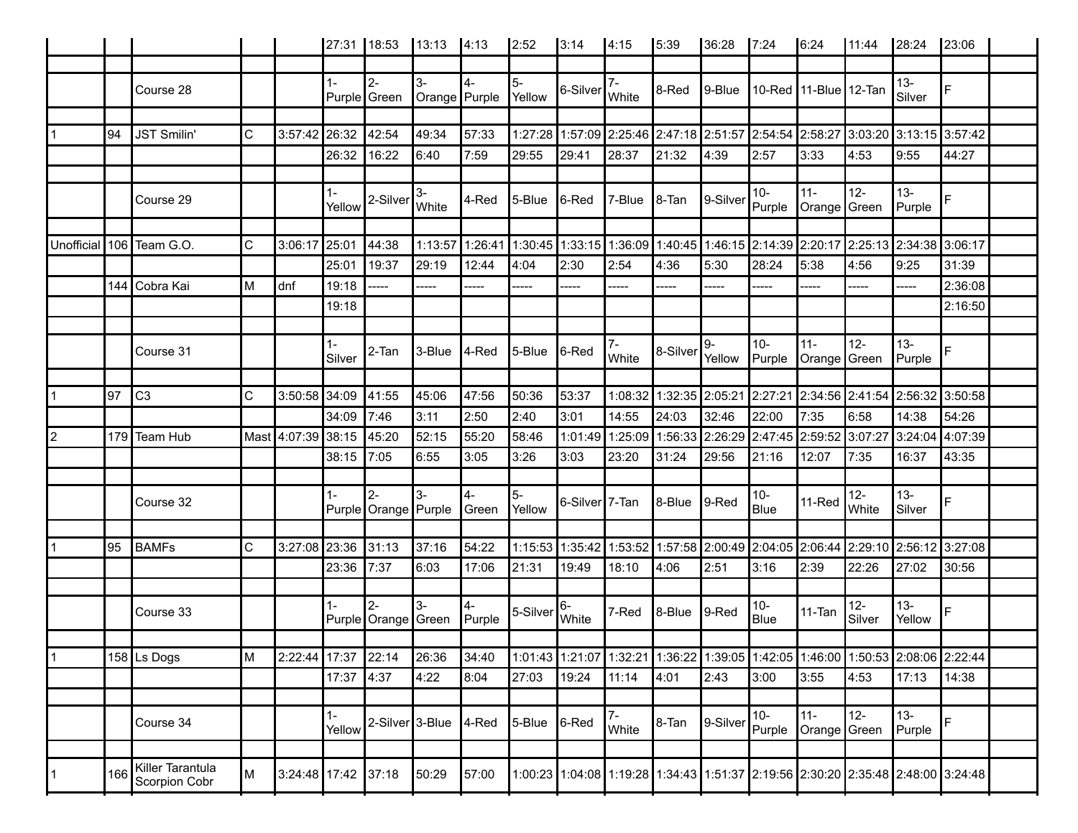|            |     |                                   |             |                     |                 | 27:31 18:53                           | $13:13$ 4:13          |                | 2:52         | 3:14                                                       | 4:15                   | 5:39      | 36:28                                                                                             | 17:24           | 16:24                     | 11:44           | 28:24            | 23:06   |
|------------|-----|-----------------------------------|-------------|---------------------|-----------------|---------------------------------------|-----------------------|----------------|--------------|------------------------------------------------------------|------------------------|-----------|---------------------------------------------------------------------------------------------------|-----------------|---------------------------|-----------------|------------------|---------|
|            |     |                                   |             |                     |                 |                                       |                       |                |              |                                                            |                        |           |                                                                                                   |                 |                           |                 |                  |         |
|            |     | Course 28                         |             |                     | $1 -$           | $2 -$<br>Purple Green                 | $3-$<br>Orange Purple |                | 5-<br>Yellow | $\left  6\text{-}\text{Silver} \right _ \text{White}^{7-}$ |                        | ∥8-Red    | $ 9 - B $ ue                                                                                      |                 | 10-Red   11-Blue   12-Tan |                 | $13 -$<br>Silver |         |
|            |     |                                   |             |                     |                 |                                       |                       |                |              |                                                            |                        |           |                                                                                                   |                 |                           |                 |                  |         |
|            | 94  | <b>JST Smilin'</b>                | C           | 3:57:42             | 26:32           | 42:54                                 | 49:34                 | 57:33          |              |                                                            |                        |           | 1:27:28   1:57:09   2:25:46   2:47:18   2:51:57   2:54:54   2:58:27   3:03:20   3:13:15   3:57:42 |                 |                           |                 |                  |         |
|            |     |                                   |             |                     | 26:32           | 16:22                                 | 6:40                  | 7:59           | 29:55        | 29:41                                                      | 28:37                  | 21:32     | ∥4:39                                                                                             | 2:57            | 3:33                      | 4:53            | 9:55             | 44:27   |
|            |     | Course 29                         |             |                     | $1 -$<br>Yellow | 2-Silver                              | $3-$<br><b>White</b>  | 4-Red          | 5-Blue       | ∥6-Red                                                     | 7-Blue                 | ∥8-Tan    | 9-Silver                                                                                          | $10-$<br>Purple | $11 -$<br>Orange Green    | $12-$           | $13 -$<br>Purple |         |
|            |     |                                   |             |                     |                 |                                       |                       |                |              |                                                            |                        |           |                                                                                                   |                 |                           |                 |                  |         |
| Unofficial |     | 106 Team G.O.                     | C           | 3:06:17             | 25:01           | 44:38                                 | 1:13:57               |                |              |                                                            |                        |           | 1:26:41 1:30:45 1:33:15 1:36:09 1:40:45 1:46:15 2:14:39 2:20:17 2:25:13 2:34:38 3:06:17           |                 |                           |                 |                  |         |
|            |     |                                   |             |                     | 25:01           | 19:37                                 | 29:19                 | 12:44          | 4:04         | 2:30                                                       | 2:54                   | 4:36      | 5:30                                                                                              | 28:24           | 5:38                      | 4:56            | 9:25             | 31:39   |
|            |     | 144 Cobra Kai                     | M           | dnf                 | 19:18           | ----                                  | -----                 | ----           | -----        | -----                                                      | -----                  | ----      | -----                                                                                             | ----            |                           | -----           | -----            | 2:36:08 |
|            |     |                                   |             |                     | 19:18           |                                       |                       |                |              |                                                            |                        |           |                                                                                                   |                 |                           |                 |                  | 2:16:50 |
|            |     | Course 31                         |             |                     | $1 -$<br>Silver | $2-Tan$                               | $3$ -Blue $ 4$ -Red   |                | $5 -$ Blue   | $ 6$ -Red                                                  | <b>I</b> White         | 8-Silver  | 9-<br>Yellow Purple                                                                               | 10-             | $11 -$<br>Orange Green    | 12-             | $13 -$<br>Purple |         |
|            | 97  | C3                                | C           | 3:50:58 34:09       |                 | 41:55                                 | 45:06                 | 47:56          | 50:36        | 53:37                                                      |                        |           | 1:08:32  1:32:35  2:05:21  2:27:21  2:34:56  2:41:54  2:56:32  3:50:58                            |                 |                           |                 |                  |         |
|            |     |                                   |             |                     | 34:09           | 7:46                                  | 3:11                  | 2:50           | 2:40         | 3:01                                                       | 14:55                  | 24:03     | 32:46                                                                                             | 22:00           | 7:35                      | 6:58            | 14:38            | 54:26   |
| 12         |     | 179 Team Hub                      |             | Mast 4:07:39        | 38:15           | 45:20                                 | 52:15                 | 55:20          | 58:46        | 1:01:49                                                    | 1:25:09                |           | 1:56:33 2:26:29 2:47:45 2:59:52 3:07:27                                                           |                 |                           |                 | 3:24:04 4:07:39  |         |
|            |     |                                   |             |                     | 38:15           | 7:05                                  | 6:55                  | 3:05           | 3:26         | 3:03                                                       | 23:20                  | 31:24     | 29:56                                                                                             | 21:16           | 12:07                     | 7:35            | 16:37            | 43:35   |
|            |     |                                   |             |                     | $1 -$           | $\overline{2}$                        | l3-                   | l4-            | 5-           |                                                            |                        |           |                                                                                                   | 10-             |                           | $12-$           | $13 -$           |         |
|            |     | Course 32                         |             |                     |                 | Purple Orange Purple Green            |                       |                | Yellow       | 6-Silver 7-Tan                                             |                        | 8-Blue    | $\vert$ 9-Red                                                                                     | Blue            | $11$ -Red                 | <b>White</b>    | Silver           |         |
|            |     |                                   |             |                     |                 |                                       |                       |                |              |                                                            |                        |           |                                                                                                   |                 |                           |                 |                  |         |
|            | 95  | BAMFs                             | $\mathsf C$ | 3:27:08 23:36       | 23:36 7:37      | 31:13                                 | 37:16<br>6:03         | 54:22<br>17:06 | 21:31        | 19:49                                                      | 18:10                  | 14:06∣    | 1:15:53 1:35:42 1:53:52 1:57:58 2:00:49 2:04:05 2:06:44 2:29:10 2:56:12 3:27:08<br>2:51           | 3:16            | 2:39                      | 22:26           | 27:02            | 30:56   |
|            |     |                                   |             |                     |                 |                                       |                       |                |              |                                                            |                        |           |                                                                                                   |                 |                           |                 |                  |         |
|            |     | Course 33                         |             |                     | $1 -$           | $\overline{2}$<br>Purple Orange Green | l3-                   | Purple         | 5-Silver     | 6-<br>White                                                | ∣7-Red                 | $ 8 - B $ | $\vert$ 9-Red                                                                                     | 10-<br>Blue     | 11-Tan                    | $12-$<br>Silver | $13 -$<br>Yellow |         |
| 11         |     | 158 Ls Dogs                       | M           | 2:22:44             | 17:37           | 22:14                                 | 26:36                 | 34:40          |              |                                                            |                        |           | 1:01:43 1:21:07 1:32:21 1:36:22 1:39:05 1:42:05 1:46:00 1:50:53 2:08:06 2:22:44                   |                 |                           |                 |                  |         |
|            |     |                                   |             |                     |                 | 4:37                                  | 4:22                  | 8:04           | 27:03        | 19:24                                                      | 11:14                  | 4:01      | 2:43                                                                                              | 3:00            | 3:55                      | 4:53            | 17:13            |         |
|            |     |                                   |             |                     | 17:37           |                                       |                       |                |              |                                                            |                        |           |                                                                                                   |                 |                           |                 |                  | 14:38   |
|            |     | Course 34                         |             |                     | $1 -$<br>Yellow | 2-Silver <sup>1</sup> 3-Blue          |                       | 4-Red          | 5-Blue       | 6-Red                                                      | $7-$<br><b>I</b> White | 8-Tan     | 9-Silver                                                                                          | $10-$<br>Purple | $11 -$<br>Orange Green    | 12-             | $13 -$<br>Purple |         |
|            |     |                                   |             |                     |                 |                                       |                       |                |              |                                                            |                        |           |                                                                                                   |                 |                           |                 |                  |         |
|            | 166 | Killer Tarantula<br>Scorpion Cobr | M           | 3:24:48 17:42 37:18 |                 |                                       | 50:29                 | 57:00          |              |                                                            |                        |           | 1:00:23 1:04:08 1:19:28 1:34:43 1:51:37 2:19:56 2:30:20 2:35:48 2:48:00 3:24:48                   |                 |                           |                 |                  |         |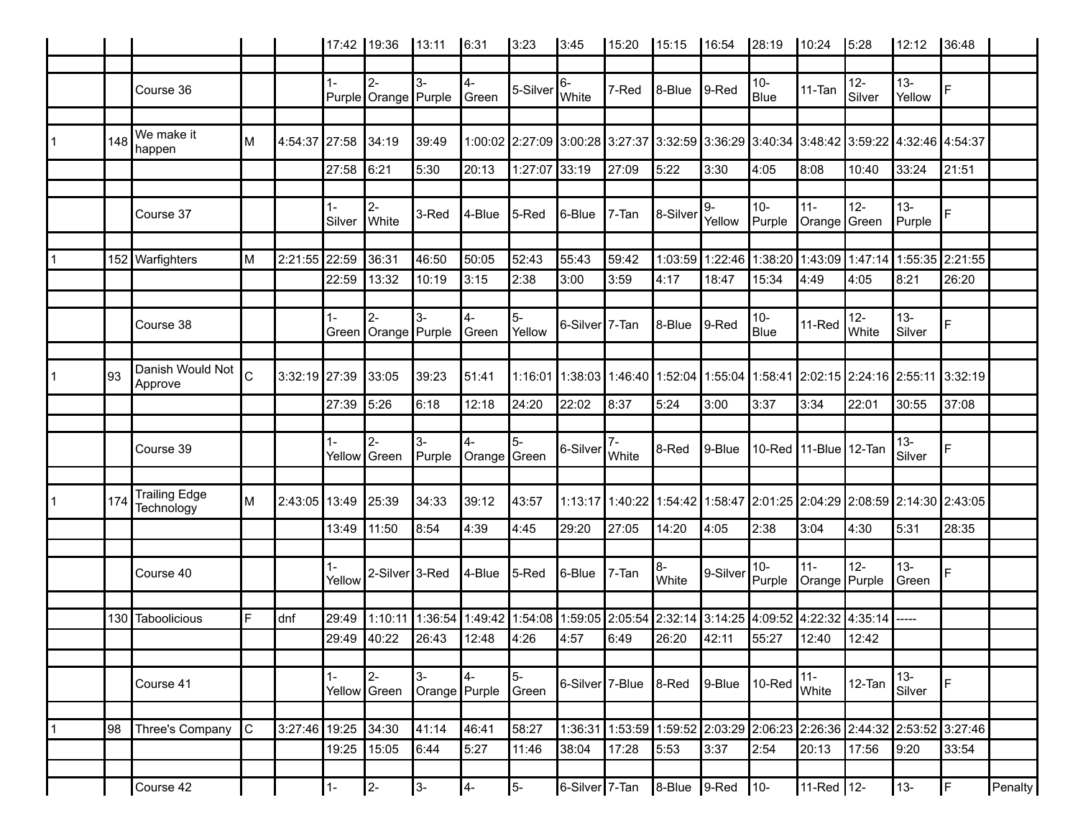|    |     |                                    |              |               | 17:42 19:36  |                                 | 13:11                 | 6:31               | 3:23           | 3:45                        | 15:20 | 15:15                                                                                   | 16:54                     | 28:19                 | 10:24                   | 5:28               | 12:12                   | 36:48                           |                |
|----|-----|------------------------------------|--------------|---------------|--------------|---------------------------------|-----------------------|--------------------|----------------|-----------------------------|-------|-----------------------------------------------------------------------------------------|---------------------------|-----------------------|-------------------------|--------------------|-------------------------|---------------------------------|----------------|
|    |     |                                    |              |               |              |                                 |                       |                    |                |                             |       |                                                                                         |                           |                       |                         |                    |                         |                                 |                |
|    |     | Course 36                          |              |               | 1-           | $2 -$<br>Purple Orange Purple   | $3-$                  | 4-<br>Green        | 5-Silver       | 6-<br>White                 | 7-Red | 8-Blue                                                                                  | $ 9$ -Red                 | $10-$<br>Blue         | $11-Tan$                | $12 -$<br>Silver   | $13 -$<br>Yellow        | F                               |                |
|    |     |                                    |              |               |              |                                 |                       |                    |                |                             |       |                                                                                         |                           |                       |                         |                    |                         |                                 |                |
|    | 148 | We make it<br>happen               | м            | 4:54:37 27:58 |              | 34:19                           | 39:49                 |                    |                |                             |       | 1:00:02 2:27:09 3:00:28 3:27:37 3:32:59 3:36:29 3:40:34 3:48:42 3:59:22 4:32:46 4:54:37 |                           |                       |                         |                    |                         |                                 |                |
|    |     |                                    |              |               | 27:58        | 6:21                            | 5:30                  | 20:13              | 1:27:07 33:19  |                             | 27:09 | 5:22                                                                                    | 3:30                      | 4:05                  | 8:08                    | 10:40              | 33:24                   | 21:51                           |                |
|    |     |                                    |              |               |              |                                 |                       |                    |                |                             |       |                                                                                         |                           |                       |                         |                    |                         |                                 |                |
|    |     | Course 37                          |              |               | 1-<br>Silver | $2 -$<br><b>White</b>           | 3-Red                 | 4-Blue             | $ 5$ -Red      | 6-Blue                      | 7-Tan | ∦8-Silver                                                                               | 9-<br>Yellow              | $10-$<br>Purple       | $11 -$<br>Orange Green  | $12-$              | $13 -$<br>Purple        | E.                              |                |
|    |     |                                    |              |               |              |                                 |                       |                    |                |                             |       |                                                                                         |                           |                       |                         |                    |                         |                                 |                |
|    |     | 152 Warfighters                    | M            | 2:21:55 22:59 |              | 36:31                           | 46:50                 | 50:05              | 52:43          | 55:43                       | 59:42 |                                                                                         | 1:03:59  1:22:46  1:38:20 |                       | 1:43:09                 |                    | 1:47:14 1:55:35 2:21:55 |                                 |                |
|    |     |                                    |              |               | 22:59        | 13:32                           | 10:19                 | 3:15               | 2:38           | 3:00                        | 3:59  | 4:17                                                                                    | 18:47                     | 15:34                 | 4:49                    | 4:05               | 8:21                    | 26:20                           |                |
|    |     |                                    |              |               |              |                                 |                       |                    |                |                             |       |                                                                                         |                           |                       |                         |                    |                         |                                 |                |
|    |     | Course 38                          |              |               | $1 -$        | I2-<br>Green Orange Purple      | $3-$                  | 4-<br>∥Green       | $5-$<br>Yellow | 6-Silver <sup>17</sup> -Tan |       | 8-Blue                                                                                  | $ 9 - Red$                | $10-$<br>Blue         | 11-Red                  | $12 -$<br>White    | $13 -$<br>Silver        | F                               |                |
|    |     |                                    |              |               |              |                                 |                       |                    |                |                             |       |                                                                                         |                           |                       |                         |                    |                         |                                 |                |
|    | 93  | Danish Would Not<br>Approve        | $\mathsf{C}$ | 3:32:19 27:39 |              | 33:05                           | 39:23                 | 51:41              |                |                             |       | 1:16:01 1:38:03 1:46:40 1:52:04 1:55:04 1:58:41 2:02:15 2:24:16 2:55:11 3:32:19         |                           |                       |                         |                    |                         |                                 |                |
|    |     |                                    |              |               | 27:39        | 5:26                            | l6:18                 | 12:18              | 24:20          | 22:02                       | 8:37  | 5:24                                                                                    | 3:00                      | 3:37                  | 3:34                    | 22:01              | 30:55                   | 37:08                           |                |
|    |     |                                    |              |               |              |                                 |                       |                    |                |                             |       |                                                                                         |                           |                       |                         |                    |                         |                                 |                |
|    |     | Course 39                          |              |               | $1 -$        | l2-<br>Yellow Green             | $3-$<br>Purple        | 4-<br>Orange Green | $5-$           | 6-Silver                    | White | 8-Red                                                                                   | $ 9 - B $ ue              | 10-Red 11-Blue 12-Tan |                         |                    | $13 -$<br>Silver        | F                               |                |
|    |     |                                    |              |               |              |                                 |                       |                    |                |                             |       |                                                                                         |                           |                       |                         |                    |                         |                                 |                |
|    | 174 | <b>Trailing Edge</b><br>Technology | M            | 2:43:05 13:49 |              | 25:39                           | 34:33                 | 39:12              | 43:57          |                             |       | 1:13:17 1:40:22 1:54:42 1:58:47 2:01:25 2:04:29 2:08:59 2:14:30 2:43:05                 |                           |                       |                         |                    |                         |                                 |                |
|    |     |                                    |              |               | 13:49        | 11:50                           | 8:54                  | 4:39               | 4:45           | 29:20                       | 27:05 | 14:20                                                                                   | 4:05                      | 2:38                  | 3:04                    | 4:30               | 5:31                    | 28:35                           |                |
|    |     |                                    |              |               |              |                                 |                       |                    |                |                             |       |                                                                                         |                           |                       |                         |                    |                         |                                 |                |
|    |     | Course 40                          |              |               | 1-<br>Yellow | 2-Silver <sup>3</sup> -Red      |                       | 4-Blue             | $ 5$ -Red      | $6 - B$ lue                 | 7-Tan | 8-<br>White                                                                             | 9-Silver                  | $10-$<br>Purple       | $11 -$<br>Orange Purple | $12-$              | $13 -$<br>Green         | Ė.                              |                |
|    |     |                                    |              |               |              |                                 |                       |                    |                |                             |       |                                                                                         |                           |                       |                         |                    |                         |                                 |                |
|    | 130 | Taboolicious                       | F            | dnf           | 29:49        | 1:10:11                         | 1:36:54               | 1:49:42            |                |                             |       | 1:54:08   1:59:05   2:05:54   2:32:14   3:14:25   4:09:52                               |                           |                       |                         | $14:22:32$ 4:35:14 |                         |                                 |                |
|    |     |                                    |              |               | 29:49        | 40:22                           | 26:43                 | 12:48              | 4:26           | 4:57                        | 6:49  | 26:20                                                                                   | 42:11                     | 55:27                 | 12:40                   | 12:42              |                         |                                 |                |
|    |     |                                    |              |               |              |                                 |                       |                    |                |                             |       |                                                                                         |                           |                       |                         |                    |                         |                                 |                |
|    |     | Course 41                          |              |               | $1 -$        | I <sub>2-</sub><br>Yellow Green | $3-$<br>Orange Purple | 4-                 | 5-<br>Green    | 6-Silver 7-Blue             |       | $ 8$ -Red                                                                               | $9 - Blue$                | $ 10$ -Red            | $11 -$<br>White         | 12-Tan             | $13 -$<br>Silver        | $\mathsf F$                     |                |
|    |     |                                    |              |               |              |                                 |                       |                    |                |                             |       |                                                                                         |                           |                       |                         |                    |                         |                                 |                |
| ∣1 | 98  | Three's Company                    | $\mathsf{C}$ | 3:27:46 19:25 |              | 34:30                           | 41:14                 | 46:41              | 58:27          | 1:36:31                     |       | 1:53:59 1:59:52                                                                         | 2:03:29 2:06:23           |                       |                         |                    |                         | 2:26:36 2:44:32 2:53:52 3:27:46 |                |
|    |     |                                    |              |               | 19:25        | 15:05                           | 6:44                  | 5:27               | 11:46          | 38:04                       | 17:28 | 5:53                                                                                    | 3:37                      | 2:54                  | 20:13                   | 17:56              | 9:20                    | 33:54                           |                |
|    |     | Course 42                          |              |               | $1 -$        | $2-$                            | 3-                    | 4-                 | 5-             | 6-Silver 7-Tan              |       | $\vert$ 8-Blue $\vert$ 9-Red                                                            |                           | $\vert$ 10-           | 11-Red 12-              |                    | 13-                     | $\mathsf F$                     | <b>Penalty</b> |